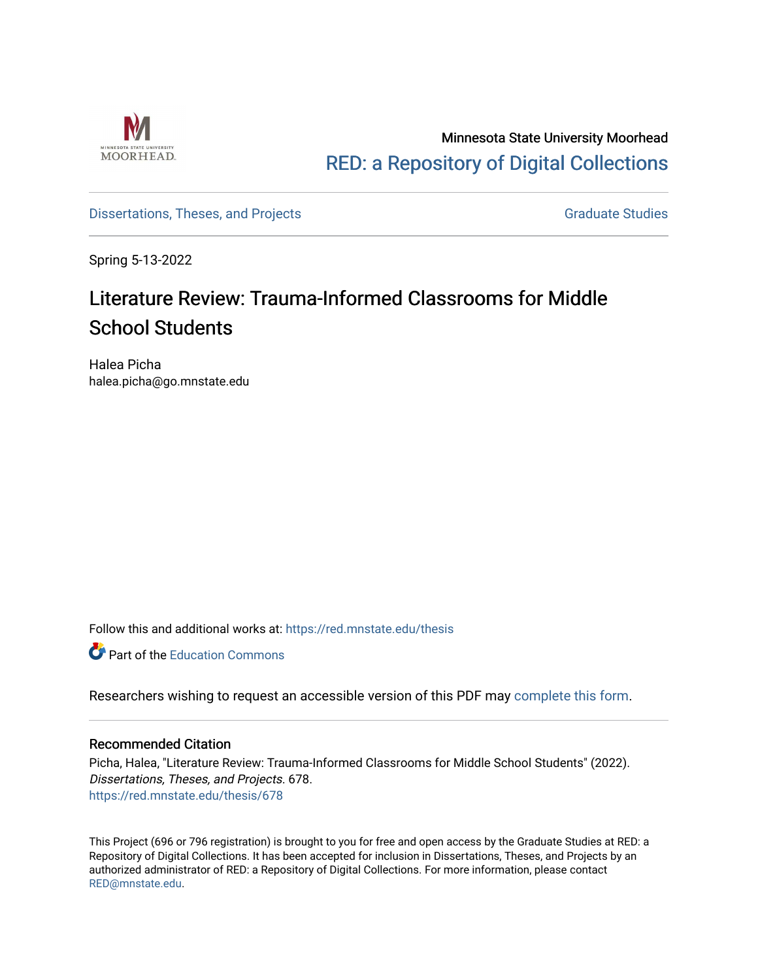

## Minnesota State University Moorhead [RED: a Repository of Digital Collections](https://red.mnstate.edu/)

## [Dissertations, Theses, and Projects](https://red.mnstate.edu/thesis) **Graduate Studies** Graduate Studies

Spring 5-13-2022

# Literature Review: Trauma-Informed Classrooms for Middle School Students

Halea Picha halea.picha@go.mnstate.edu

Follow this and additional works at: [https://red.mnstate.edu/thesis](https://red.mnstate.edu/thesis?utm_source=red.mnstate.edu%2Fthesis%2F678&utm_medium=PDF&utm_campaign=PDFCoverPages) 

**C** Part of the [Education Commons](http://network.bepress.com/hgg/discipline/784?utm_source=red.mnstate.edu%2Fthesis%2F678&utm_medium=PDF&utm_campaign=PDFCoverPages)

Researchers wishing to request an accessible version of this PDF may [complete this form](https://forms.office.com/r/qXy3czEqQ1).

## Recommended Citation

Picha, Halea, "Literature Review: Trauma-Informed Classrooms for Middle School Students" (2022). Dissertations, Theses, and Projects. 678. [https://red.mnstate.edu/thesis/678](https://red.mnstate.edu/thesis/678?utm_source=red.mnstate.edu%2Fthesis%2F678&utm_medium=PDF&utm_campaign=PDFCoverPages) 

This Project (696 or 796 registration) is brought to you for free and open access by the Graduate Studies at RED: a Repository of Digital Collections. It has been accepted for inclusion in Dissertations, Theses, and Projects by an authorized administrator of RED: a Repository of Digital Collections. For more information, please contact [RED@mnstate.edu.](mailto:RED@mnstate.edu)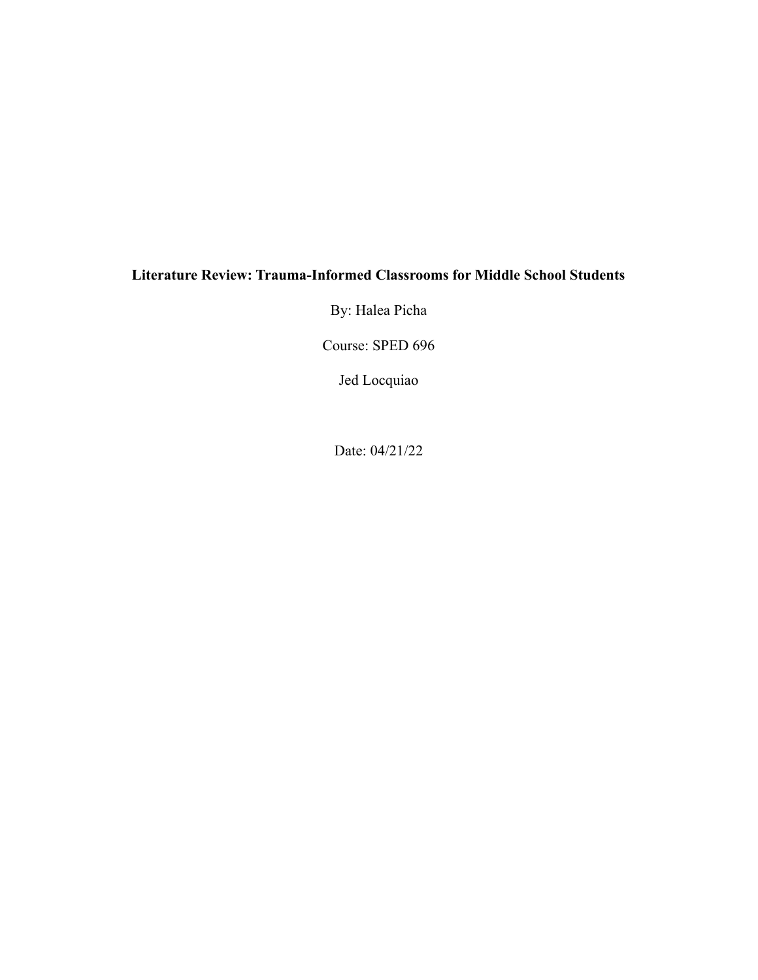## **Literature Review: Trauma-Informed Classrooms for Middle School Students**

By: Halea Picha

Course: SPED 696

Jed Locquiao

Date: 04/21/22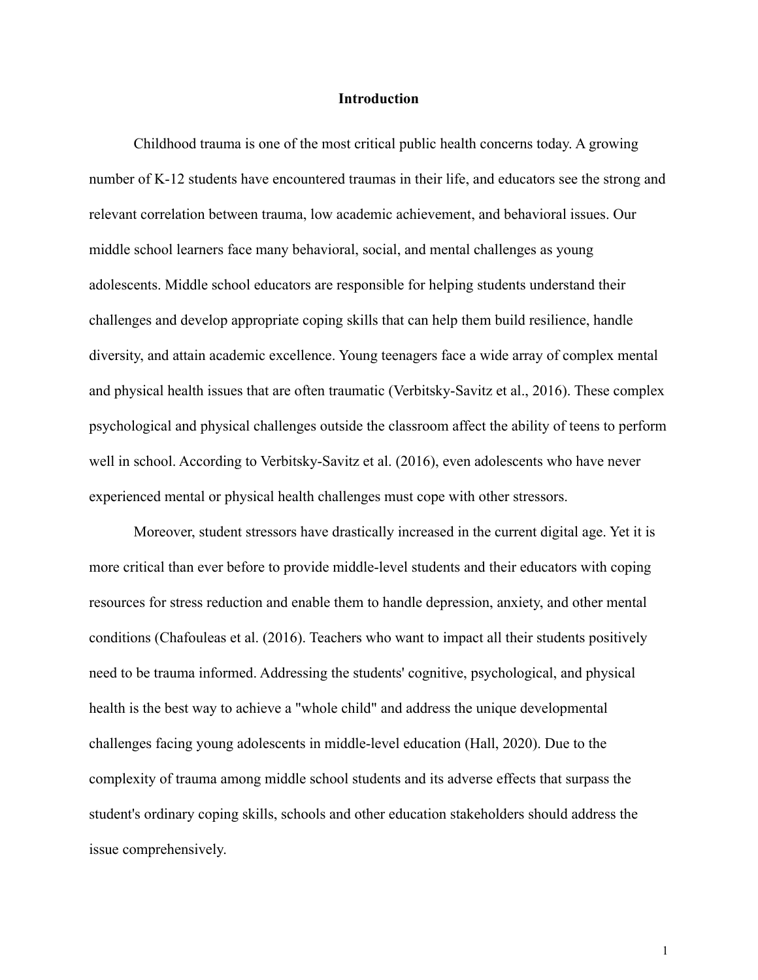## **Introduction**

Childhood trauma is one of the most critical public health concerns today. A growing number of K-12 students have encountered traumas in their life, and educators see the strong and relevant correlation between trauma, low academic achievement, and behavioral issues. Our middle school learners face many behavioral, social, and mental challenges as young adolescents. Middle school educators are responsible for helping students understand their challenges and develop appropriate coping skills that can help them build resilience, handle diversity, and attain academic excellence. Young teenagers face a wide array of complex mental and physical health issues that are often traumatic (Verbitsky-Savitz et al., 2016). These complex psychological and physical challenges outside the classroom affect the ability of teens to perform well in school. According to Verbitsky-Savitz et al. (2016), even adolescents who have never experienced mental or physical health challenges must cope with other stressors.

Moreover, student stressors have drastically increased in the current digital age. Yet it is more critical than ever before to provide middle-level students and their educators with coping resources for stress reduction and enable them to handle depression, anxiety, and other mental conditions (Chafouleas et al. (2016). Teachers who want to impact all their students positively need to be trauma informed. Addressing the students' cognitive, psychological, and physical health is the best way to achieve a "whole child" and address the unique developmental challenges facing young adolescents in middle-level education (Hall, 2020). Due to the complexity of trauma among middle school students and its adverse effects that surpass the student's ordinary coping skills, schools and other education stakeholders should address the issue comprehensively.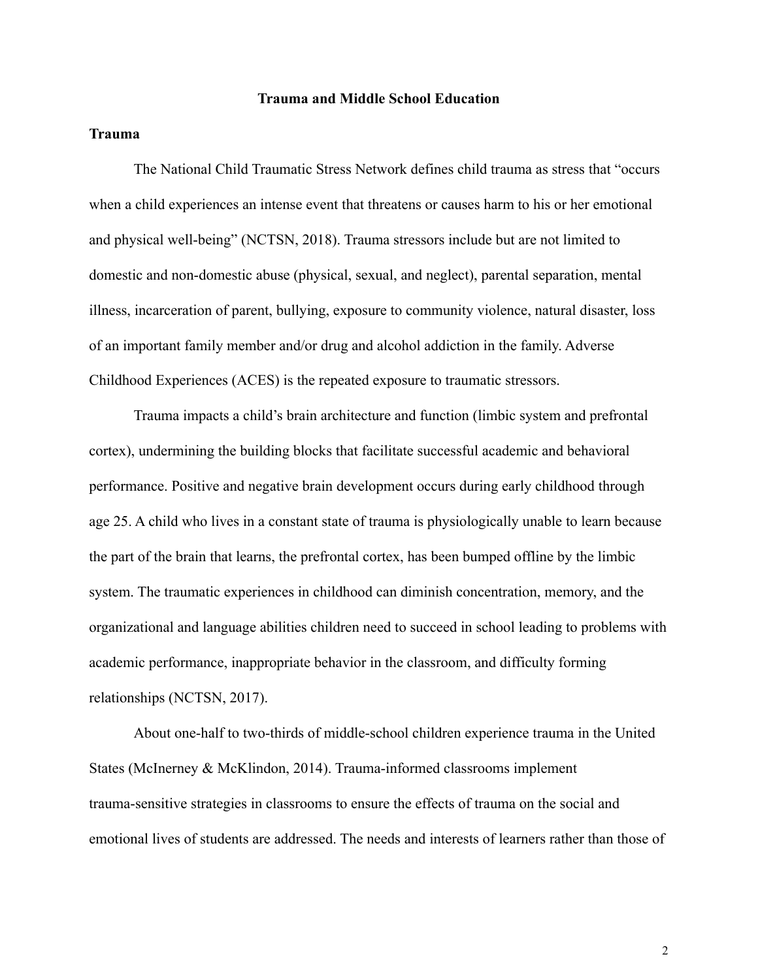## **Trauma and Middle School Education**

## **Trauma**

The National Child Traumatic Stress Network defines child trauma as stress that "occurs when a child experiences an intense event that threatens or causes harm to his or her emotional and physical well-being" (NCTSN, 2018). Trauma stressors include but are not limited to domestic and non-domestic abuse (physical, sexual, and neglect), parental separation, mental illness, incarceration of parent, bullying, exposure to community violence, natural disaster, loss of an important family member and/or drug and alcohol addiction in the family. Adverse Childhood Experiences (ACES) is the repeated exposure to traumatic stressors.

Trauma impacts a child's brain architecture and function (limbic system and prefrontal cortex), undermining the building blocks that facilitate successful academic and behavioral performance. Positive and negative brain development occurs during early childhood through age 25. A child who lives in a constant state of trauma is physiologically unable to learn because the part of the brain that learns, the prefrontal cortex, has been bumped offline by the limbic system. The traumatic experiences in childhood can diminish concentration, memory, and the organizational and language abilities children need to succeed in school leading to problems with academic performance, inappropriate behavior in the classroom, and difficulty forming relationships (NCTSN, 2017).

About one-half to two-thirds of middle-school children experience trauma in the United States (McInerney & McKlindon, 2014). Trauma-informed classrooms implement trauma-sensitive strategies in classrooms to ensure the effects of trauma on the social and emotional lives of students are addressed. The needs and interests of learners rather than those of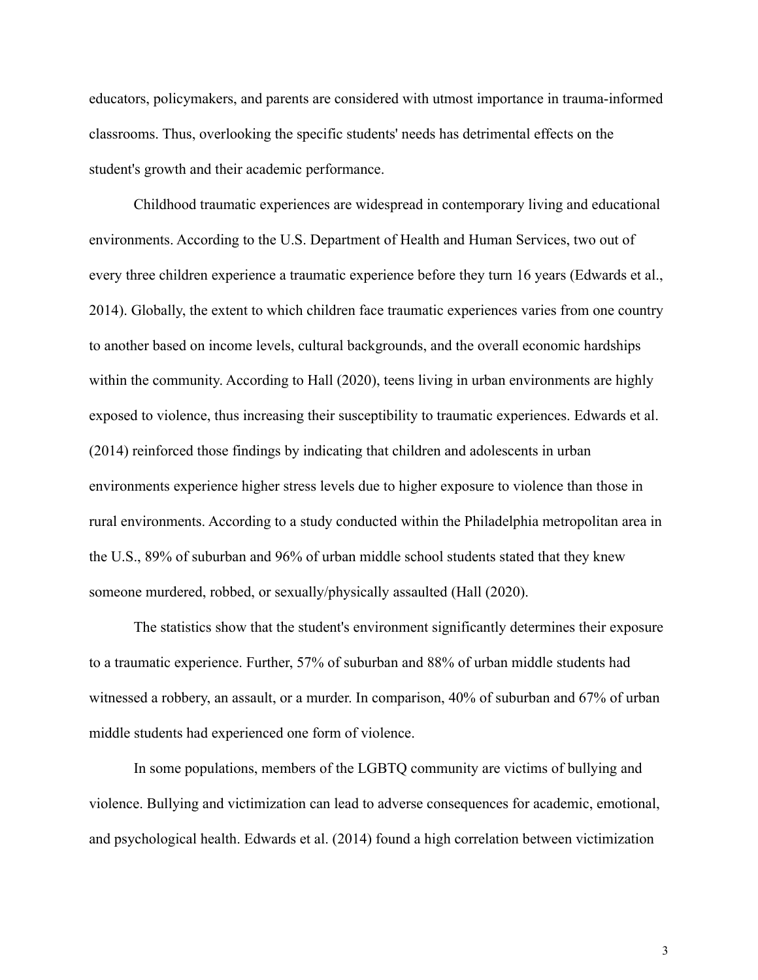educators, policymakers, and parents are considered with utmost importance in trauma-informed classrooms. Thus, overlooking the specific students' needs has detrimental effects on the student's growth and their academic performance.

Childhood traumatic experiences are widespread in contemporary living and educational environments. According to the U.S. Department of Health and Human Services, two out of every three children experience a traumatic experience before they turn 16 years (Edwards et al., 2014). Globally, the extent to which children face traumatic experiences varies from one country to another based on income levels, cultural backgrounds, and the overall economic hardships within the community. According to Hall (2020), teens living in urban environments are highly exposed to violence, thus increasing their susceptibility to traumatic experiences. Edwards et al. (2014) reinforced those findings by indicating that children and adolescents in urban environments experience higher stress levels due to higher exposure to violence than those in rural environments. According to a study conducted within the Philadelphia metropolitan area in the U.S., 89% of suburban and 96% of urban middle school students stated that they knew someone murdered, robbed, or sexually/physically assaulted (Hall (2020).

The statistics show that the student's environment significantly determines their exposure to a traumatic experience. Further, 57% of suburban and 88% of urban middle students had witnessed a robbery, an assault, or a murder. In comparison, 40% of suburban and 67% of urban middle students had experienced one form of violence.

In some populations, members of the LGBTQ community are victims of bullying and violence. Bullying and victimization can lead to adverse consequences for academic, emotional, and psychological health. Edwards et al. (2014) found a high correlation between victimization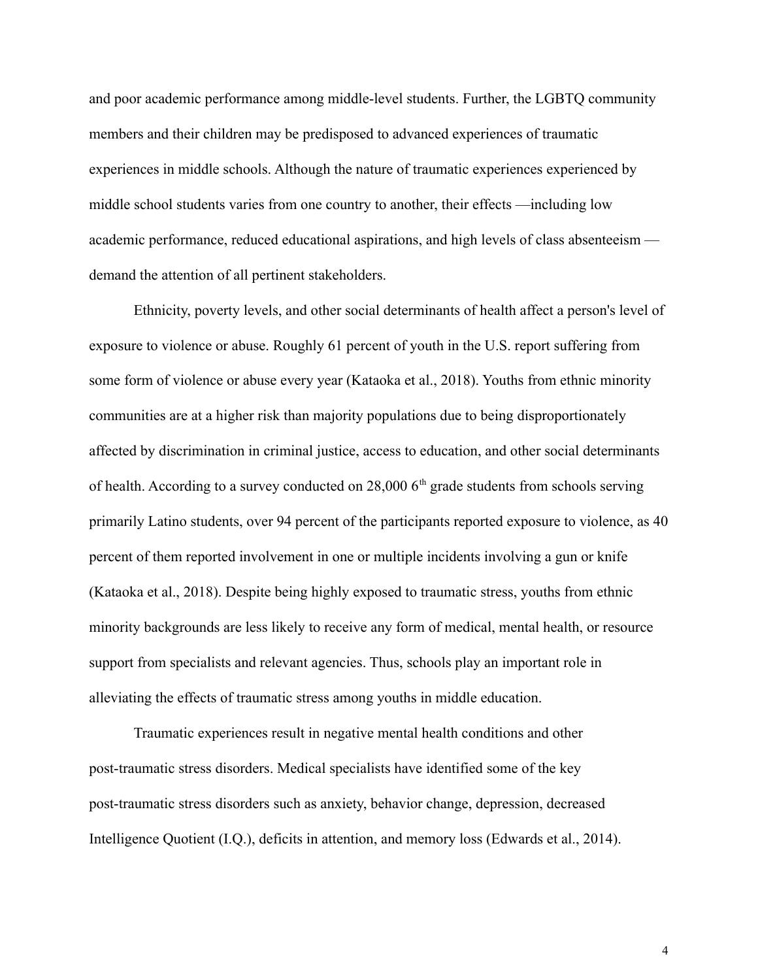and poor academic performance among middle-level students. Further, the LGBTQ community members and their children may be predisposed to advanced experiences of traumatic experiences in middle schools. Although the nature of traumatic experiences experienced by middle school students varies from one country to another, their effects —including low academic performance, reduced educational aspirations, and high levels of class absenteeism demand the attention of all pertinent stakeholders.

Ethnicity, poverty levels, and other social determinants of health affect a person's level of exposure to violence or abuse. Roughly 61 percent of youth in the U.S. report suffering from some form of violence or abuse every year (Kataoka et al., 2018). Youths from ethnic minority communities are at a higher risk than majority populations due to being disproportionately affected by discrimination in criminal justice, access to education, and other social determinants of health. According to a survey conducted on  $28,000$  6<sup>th</sup> grade students from schools serving primarily Latino students, over 94 percent of the participants reported exposure to violence, as 40 percent of them reported involvement in one or multiple incidents involving a gun or knife (Kataoka et al., 2018). Despite being highly exposed to traumatic stress, youths from ethnic minority backgrounds are less likely to receive any form of medical, mental health, or resource support from specialists and relevant agencies. Thus, schools play an important role in alleviating the effects of traumatic stress among youths in middle education.

Traumatic experiences result in negative mental health conditions and other post-traumatic stress disorders. Medical specialists have identified some of the key post-traumatic stress disorders such as anxiety, behavior change, depression, decreased Intelligence Quotient (I.Q.), deficits in attention, and memory loss (Edwards et al., 2014).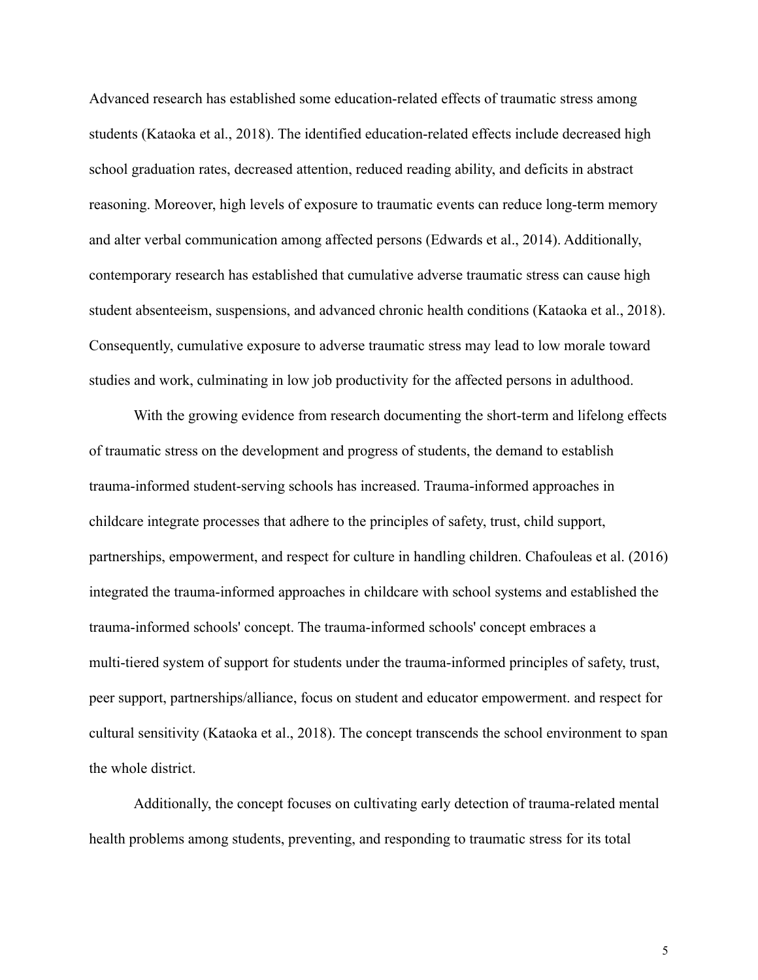Advanced research has established some education-related effects of traumatic stress among students (Kataoka et al., 2018). The identified education-related effects include decreased high school graduation rates, decreased attention, reduced reading ability, and deficits in abstract reasoning. Moreover, high levels of exposure to traumatic events can reduce long-term memory and alter verbal communication among affected persons (Edwards et al., 2014). Additionally, contemporary research has established that cumulative adverse traumatic stress can cause high student absenteeism, suspensions, and advanced chronic health conditions (Kataoka et al., 2018). Consequently, cumulative exposure to adverse traumatic stress may lead to low morale toward studies and work, culminating in low job productivity for the affected persons in adulthood.

With the growing evidence from research documenting the short-term and lifelong effects of traumatic stress on the development and progress of students, the demand to establish trauma-informed student-serving schools has increased. Trauma-informed approaches in childcare integrate processes that adhere to the principles of safety, trust, child support, partnerships, empowerment, and respect for culture in handling children. Chafouleas et al. (2016) integrated the trauma-informed approaches in childcare with school systems and established the trauma-informed schools' concept. The trauma-informed schools' concept embraces a multi-tiered system of support for students under the trauma-informed principles of safety, trust, peer support, partnerships/alliance, focus on student and educator empowerment. and respect for cultural sensitivity (Kataoka et al., 2018). The concept transcends the school environment to span the whole district.

Additionally, the concept focuses on cultivating early detection of trauma-related mental health problems among students, preventing, and responding to traumatic stress for its total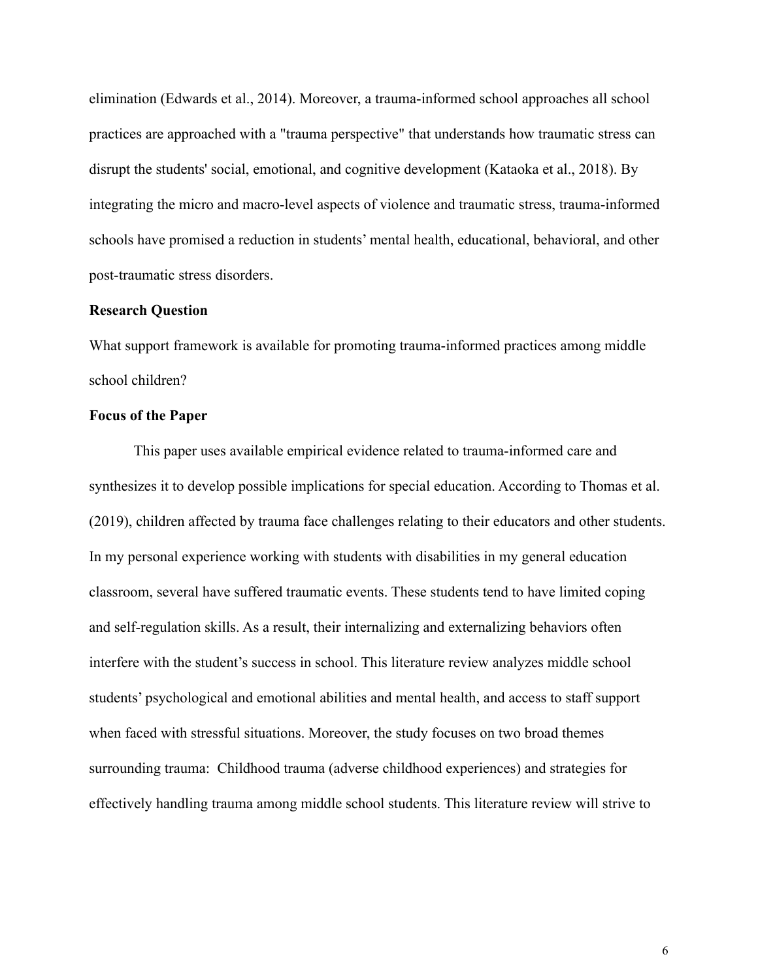elimination (Edwards et al., 2014). Moreover, a trauma-informed school approaches all school practices are approached with a "trauma perspective" that understands how traumatic stress can disrupt the students' social, emotional, and cognitive development (Kataoka et al., 2018). By integrating the micro and macro-level aspects of violence and traumatic stress, trauma-informed schools have promised a reduction in students' mental health, educational, behavioral, and other post-traumatic stress disorders.

## **Research Question**

What support framework is available for promoting trauma-informed practices among middle school children?

## **Focus of the Paper**

This paper uses available empirical evidence related to trauma-informed care and synthesizes it to develop possible implications for special education. According to Thomas et al. (2019), children affected by trauma face challenges relating to their educators and other students. In my personal experience working with students with disabilities in my general education classroom, several have suffered traumatic events. These students tend to have limited coping and self-regulation skills. As a result, their internalizing and externalizing behaviors often interfere with the student's success in school. This literature review analyzes middle school students' psychological and emotional abilities and mental health, and access to staff support when faced with stressful situations. Moreover, the study focuses on two broad themes surrounding trauma: Childhood trauma (adverse childhood experiences) and strategies for effectively handling trauma among middle school students. This literature review will strive to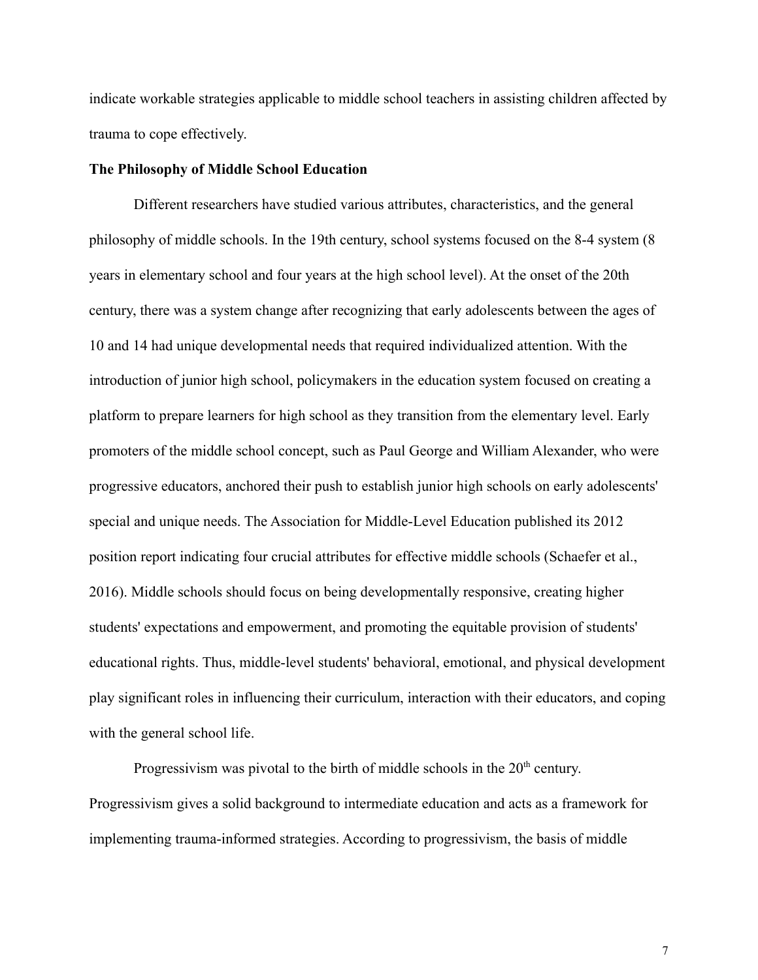indicate workable strategies applicable to middle school teachers in assisting children affected by trauma to cope effectively.

## **The Philosophy of Middle School Education**

Different researchers have studied various attributes, characteristics, and the general philosophy of middle schools. In the 19th century, school systems focused on the 8-4 system (8 years in elementary school and four years at the high school level). At the onset of the 20th century, there was a system change after recognizing that early adolescents between the ages of 10 and 14 had unique developmental needs that required individualized attention. With the introduction of junior high school, policymakers in the education system focused on creating a platform to prepare learners for high school as they transition from the elementary level. Early promoters of the middle school concept, such as Paul George and William Alexander, who were progressive educators, anchored their push to establish junior high schools on early adolescents' special and unique needs. The Association for Middle-Level Education published its 2012 position report indicating four crucial attributes for effective middle schools (Schaefer et al., 2016). Middle schools should focus on being developmentally responsive, creating higher students' expectations and empowerment, and promoting the equitable provision of students' educational rights. Thus, middle-level students' behavioral, emotional, and physical development play significant roles in influencing their curriculum, interaction with their educators, and coping with the general school life.

Progressivism was pivotal to the birth of middle schools in the  $20<sup>th</sup>$  century. Progressivism gives a solid background to intermediate education and acts as a framework for implementing trauma-informed strategies. According to progressivism, the basis of middle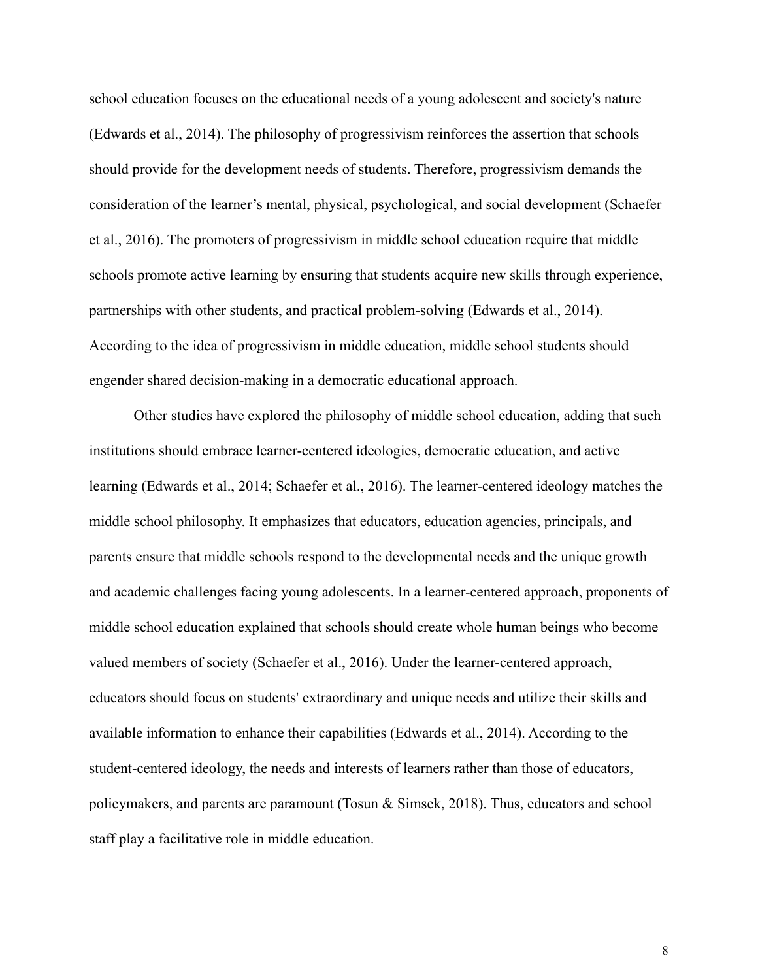school education focuses on the educational needs of a young adolescent and society's nature (Edwards et al., 2014). The philosophy of progressivism reinforces the assertion that schools should provide for the development needs of students. Therefore, progressivism demands the consideration of the learner's mental, physical, psychological, and social development (Schaefer et al., 2016). The promoters of progressivism in middle school education require that middle schools promote active learning by ensuring that students acquire new skills through experience, partnerships with other students, and practical problem-solving (Edwards et al., 2014). According to the idea of progressivism in middle education, middle school students should engender shared decision-making in a democratic educational approach.

Other studies have explored the philosophy of middle school education, adding that such institutions should embrace learner-centered ideologies, democratic education, and active learning (Edwards et al., 2014; Schaefer et al., 2016). The learner-centered ideology matches the middle school philosophy. It emphasizes that educators, education agencies, principals, and parents ensure that middle schools respond to the developmental needs and the unique growth and academic challenges facing young adolescents. In a learner-centered approach, proponents of middle school education explained that schools should create whole human beings who become valued members of society (Schaefer et al., 2016). Under the learner-centered approach, educators should focus on students' extraordinary and unique needs and utilize their skills and available information to enhance their capabilities (Edwards et al., 2014). According to the student-centered ideology, the needs and interests of learners rather than those of educators, policymakers, and parents are paramount (Tosun & Simsek, 2018). Thus, educators and school staff play a facilitative role in middle education.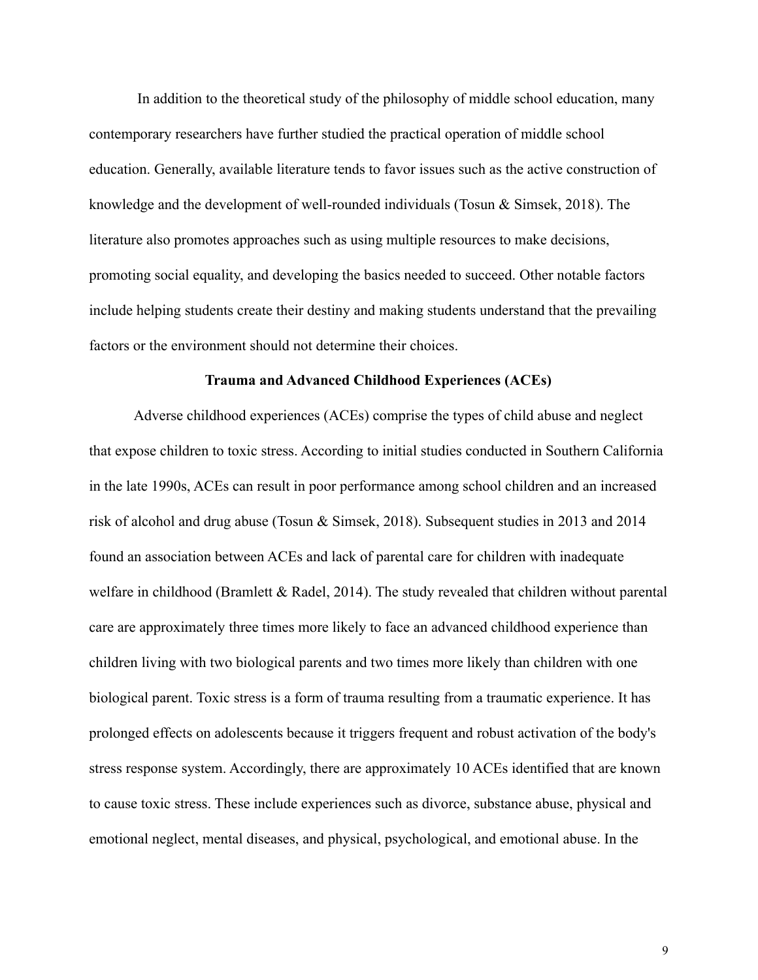In addition to the theoretical study of the philosophy of middle school education, many contemporary researchers have further studied the practical operation of middle school education. Generally, available literature tends to favor issues such as the active construction of knowledge and the development of well-rounded individuals (Tosun & Simsek, 2018). The literature also promotes approaches such as using multiple resources to make decisions, promoting social equality, and developing the basics needed to succeed. Other notable factors include helping students create their destiny and making students understand that the prevailing factors or the environment should not determine their choices.

## **Trauma and Advanced Childhood Experiences (ACEs)**

Adverse childhood experiences (ACEs) comprise the types of child abuse and neglect that expose children to toxic stress. According to initial studies conducted in Southern California in the late 1990s, ACEs can result in poor performance among school children and an increased risk of alcohol and drug abuse (Tosun & Simsek, 2018). Subsequent studies in 2013 and 2014 found an association between ACEs and lack of parental care for children with inadequate welfare in childhood (Bramlett & Radel, 2014). The study revealed that children without parental care are approximately three times more likely to face an advanced childhood experience than children living with two biological parents and two times more likely than children with one biological parent. Toxic stress is a form of trauma resulting from a traumatic experience. It has prolonged effects on adolescents because it triggers frequent and robust activation of the body's stress response system. Accordingly, there are approximately 10 ACEs identified that are known to cause toxic stress. These include experiences such as divorce, substance abuse, physical and emotional neglect, mental diseases, and physical, psychological, and emotional abuse. In the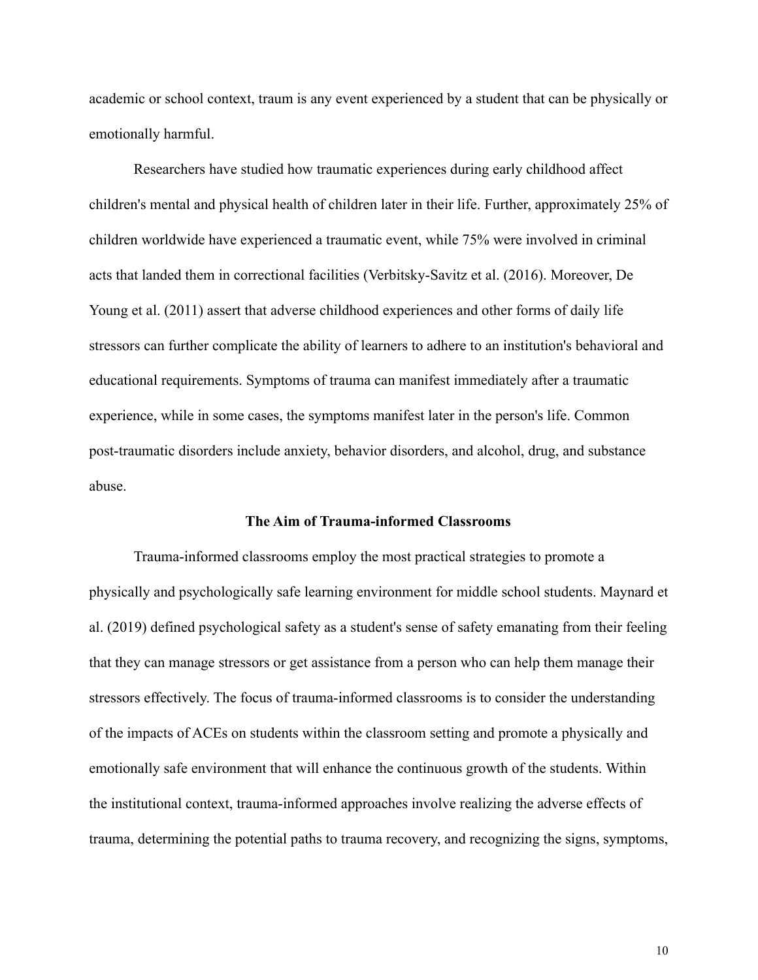academic or school context, traum is any event experienced by a student that can be physically or emotionally harmful.

Researchers have studied how traumatic experiences during early childhood affect children's mental and physical health of children later in their life. Further, approximately 25% of children worldwide have experienced a traumatic event, while 75% were involved in criminal acts that landed them in correctional facilities (Verbitsky-Savitz et al. (2016). Moreover, De Young et al. (2011) assert that adverse childhood experiences and other forms of daily life stressors can further complicate the ability of learners to adhere to an institution's behavioral and educational requirements. Symptoms of trauma can manifest immediately after a traumatic experience, while in some cases, the symptoms manifest later in the person's life. Common post-traumatic disorders include anxiety, behavior disorders, and alcohol, drug, and substance abuse.

## **The Aim of Trauma-informed Classrooms**

Trauma-informed classrooms employ the most practical strategies to promote a physically and psychologically safe learning environment for middle school students. Maynard et al. (2019) defined psychological safety as a student's sense of safety emanating from their feeling that they can manage stressors or get assistance from a person who can help them manage their stressors effectively. The focus of trauma-informed classrooms is to consider the understanding of the impacts of ACEs on students within the classroom setting and promote a physically and emotionally safe environment that will enhance the continuous growth of the students. Within the institutional context, trauma-informed approaches involve realizing the adverse effects of trauma, determining the potential paths to trauma recovery, and recognizing the signs, symptoms,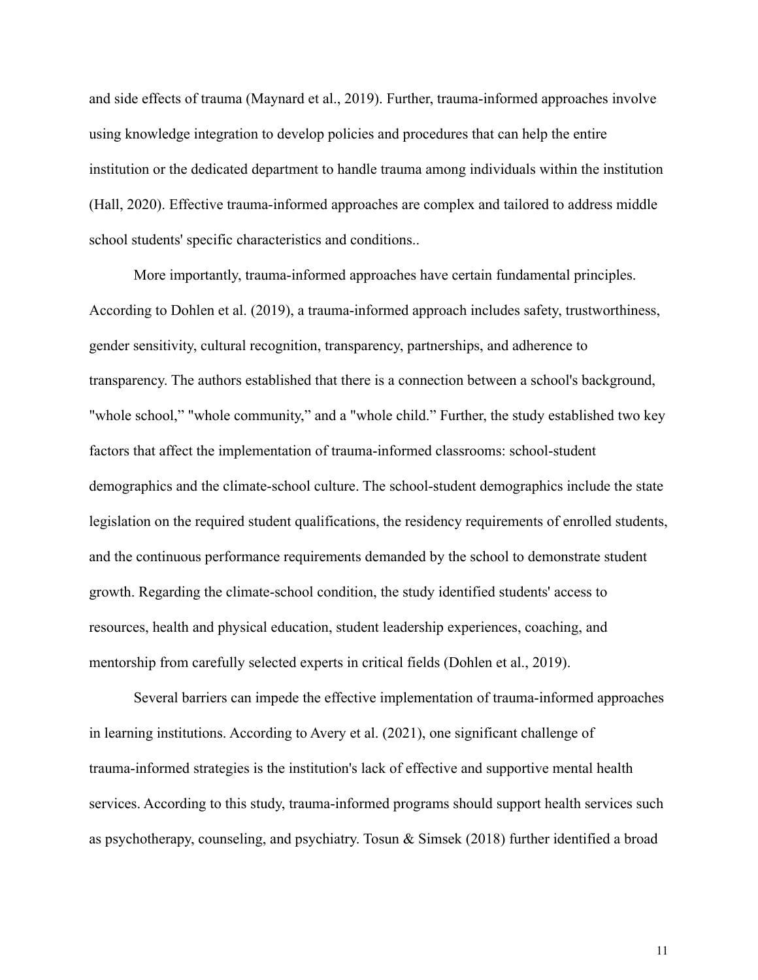and side effects of trauma (Maynard et al., 2019). Further, trauma-informed approaches involve using knowledge integration to develop policies and procedures that can help the entire institution or the dedicated department to handle trauma among individuals within the institution (Hall, 2020). Effective trauma-informed approaches are complex and tailored to address middle school students' specific characteristics and conditions..

More importantly, trauma-informed approaches have certain fundamental principles. According to Dohlen et al. (2019), a trauma-informed approach includes safety, trustworthiness, gender sensitivity, cultural recognition, transparency, partnerships, and adherence to transparency. The authors established that there is a connection between a school's background, "whole school," "whole community," and a "whole child." Further, the study established two key factors that affect the implementation of trauma-informed classrooms: school-student demographics and the climate-school culture. The school-student demographics include the state legislation on the required student qualifications, the residency requirements of enrolled students, and the continuous performance requirements demanded by the school to demonstrate student growth. Regarding the climate-school condition, the study identified students' access to resources, health and physical education, student leadership experiences, coaching, and mentorship from carefully selected experts in critical fields (Dohlen et al., 2019).

Several barriers can impede the effective implementation of trauma-informed approaches in learning institutions. According to Avery et al. (2021), one significant challenge of trauma-informed strategies is the institution's lack of effective and supportive mental health services. According to this study, trauma-informed programs should support health services such as psychotherapy, counseling, and psychiatry. Tosun & Simsek (2018) further identified a broad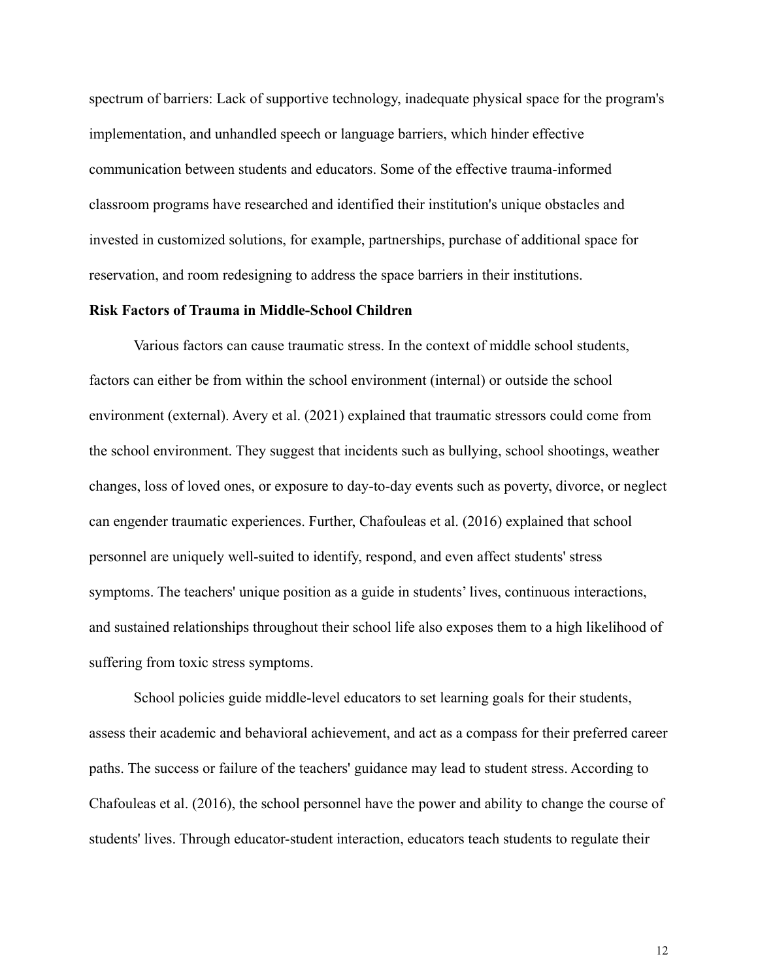spectrum of barriers: Lack of supportive technology, inadequate physical space for the program's implementation, and unhandled speech or language barriers, which hinder effective communication between students and educators. Some of the effective trauma-informed classroom programs have researched and identified their institution's unique obstacles and invested in customized solutions, for example, partnerships, purchase of additional space for reservation, and room redesigning to address the space barriers in their institutions.

## **Risk Factors of Trauma in Middle-School Children**

Various factors can cause traumatic stress. In the context of middle school students, factors can either be from within the school environment (internal) or outside the school environment (external). Avery et al. (2021) explained that traumatic stressors could come from the school environment. They suggest that incidents such as bullying, school shootings, weather changes, loss of loved ones, or exposure to day-to-day events such as poverty, divorce, or neglect can engender traumatic experiences. Further, Chafouleas et al. (2016) explained that school personnel are uniquely well-suited to identify, respond, and even affect students' stress symptoms. The teachers' unique position as a guide in students' lives, continuous interactions, and sustained relationships throughout their school life also exposes them to a high likelihood of suffering from toxic stress symptoms.

School policies guide middle-level educators to set learning goals for their students, assess their academic and behavioral achievement, and act as a compass for their preferred career paths. The success or failure of the teachers' guidance may lead to student stress. According to Chafouleas et al. (2016), the school personnel have the power and ability to change the course of students' lives. Through educator-student interaction, educators teach students to regulate their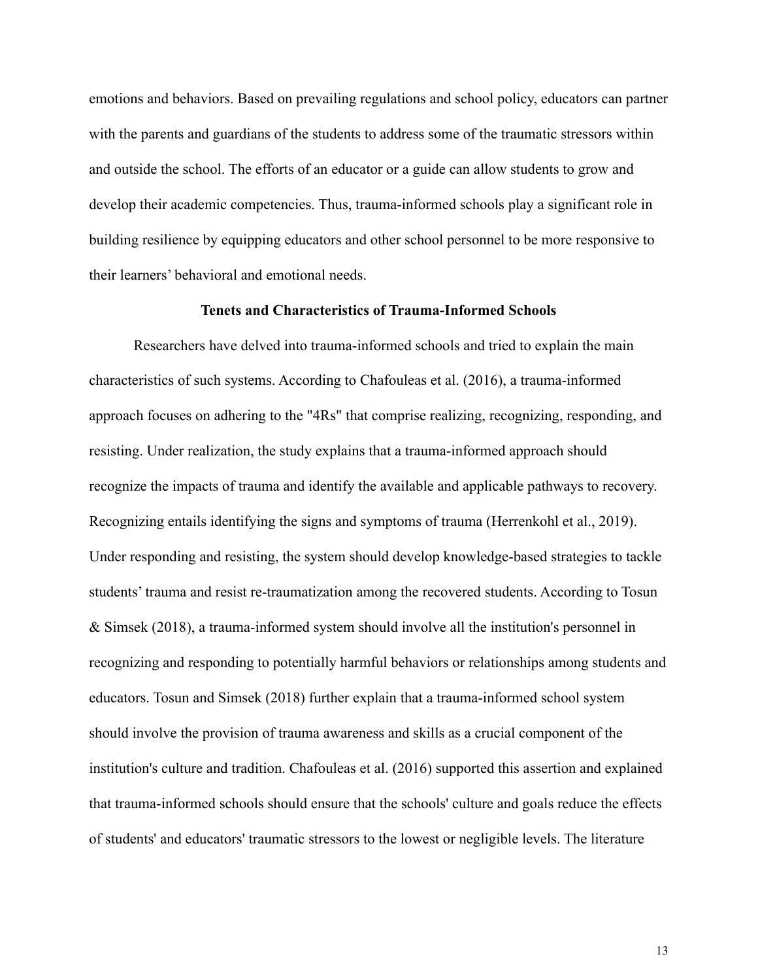emotions and behaviors. Based on prevailing regulations and school policy, educators can partner with the parents and guardians of the students to address some of the traumatic stressors within and outside the school. The efforts of an educator or a guide can allow students to grow and develop their academic competencies. Thus, trauma-informed schools play a significant role in building resilience by equipping educators and other school personnel to be more responsive to their learners' behavioral and emotional needs.

## **Tenets and Characteristics of Trauma-Informed Schools**

Researchers have delved into trauma-informed schools and tried to explain the main characteristics of such systems. According to Chafouleas et al. (2016), a trauma-informed approach focuses on adhering to the "4Rs" that comprise realizing, recognizing, responding, and resisting. Under realization, the study explains that a trauma-informed approach should recognize the impacts of trauma and identify the available and applicable pathways to recovery. Recognizing entails identifying the signs and symptoms of trauma (Herrenkohl et al., 2019). Under responding and resisting, the system should develop knowledge-based strategies to tackle students' trauma and resist re-traumatization among the recovered students. According to Tosun & Simsek (2018), a trauma-informed system should involve all the institution's personnel in recognizing and responding to potentially harmful behaviors or relationships among students and educators. Tosun and Simsek (2018) further explain that a trauma-informed school system should involve the provision of trauma awareness and skills as a crucial component of the institution's culture and tradition. Chafouleas et al. (2016) supported this assertion and explained that trauma-informed schools should ensure that the schools' culture and goals reduce the effects of students' and educators' traumatic stressors to the lowest or negligible levels. The literature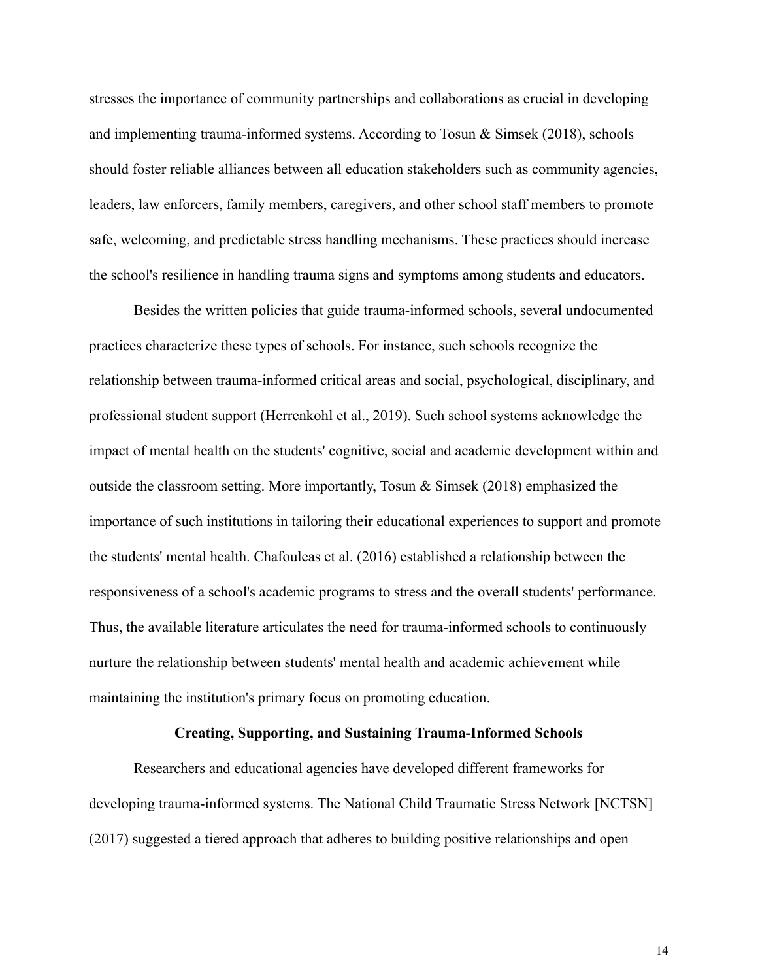stresses the importance of community partnerships and collaborations as crucial in developing and implementing trauma-informed systems. According to Tosun & Simsek (2018), schools should foster reliable alliances between all education stakeholders such as community agencies, leaders, law enforcers, family members, caregivers, and other school staff members to promote safe, welcoming, and predictable stress handling mechanisms. These practices should increase the school's resilience in handling trauma signs and symptoms among students and educators.

Besides the written policies that guide trauma-informed schools, several undocumented practices characterize these types of schools. For instance, such schools recognize the relationship between trauma-informed critical areas and social, psychological, disciplinary, and professional student support (Herrenkohl et al., 2019). Such school systems acknowledge the impact of mental health on the students' cognitive, social and academic development within and outside the classroom setting. More importantly, Tosun  $\&$  Simsek (2018) emphasized the importance of such institutions in tailoring their educational experiences to support and promote the students' mental health. Chafouleas et al. (2016) established a relationship between the responsiveness of a school's academic programs to stress and the overall students' performance. Thus, the available literature articulates the need for trauma-informed schools to continuously nurture the relationship between students' mental health and academic achievement while maintaining the institution's primary focus on promoting education.

## **Creating, Supporting, and Sustaining Trauma-Informed Schools**

Researchers and educational agencies have developed different frameworks for developing trauma-informed systems. The National Child Traumatic Stress Network [NCTSN] (2017) suggested a tiered approach that adheres to building positive relationships and open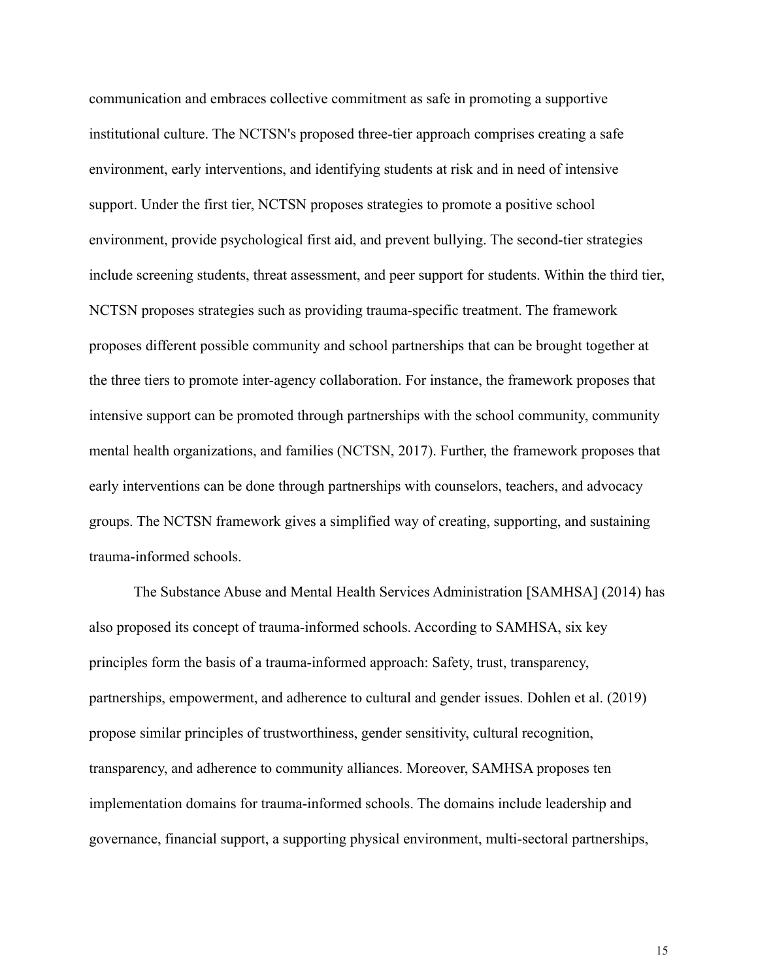communication and embraces collective commitment as safe in promoting a supportive institutional culture. The NCTSN's proposed three-tier approach comprises creating a safe environment, early interventions, and identifying students at risk and in need of intensive support. Under the first tier, NCTSN proposes strategies to promote a positive school environment, provide psychological first aid, and prevent bullying. The second-tier strategies include screening students, threat assessment, and peer support for students. Within the third tier, NCTSN proposes strategies such as providing trauma-specific treatment. The framework proposes different possible community and school partnerships that can be brought together at the three tiers to promote inter-agency collaboration. For instance, the framework proposes that intensive support can be promoted through partnerships with the school community, community mental health organizations, and families (NCTSN, 2017). Further, the framework proposes that early interventions can be done through partnerships with counselors, teachers, and advocacy groups. The NCTSN framework gives a simplified way of creating, supporting, and sustaining trauma-informed schools.

The Substance Abuse and Mental Health Services Administration [SAMHSA] (2014) has also proposed its concept of trauma-informed schools. According to SAMHSA, six key principles form the basis of a trauma-informed approach: Safety, trust, transparency, partnerships, empowerment, and adherence to cultural and gender issues. Dohlen et al. (2019) propose similar principles of trustworthiness, gender sensitivity, cultural recognition, transparency, and adherence to community alliances. Moreover, SAMHSA proposes ten implementation domains for trauma-informed schools. The domains include leadership and governance, financial support, a supporting physical environment, multi-sectoral partnerships,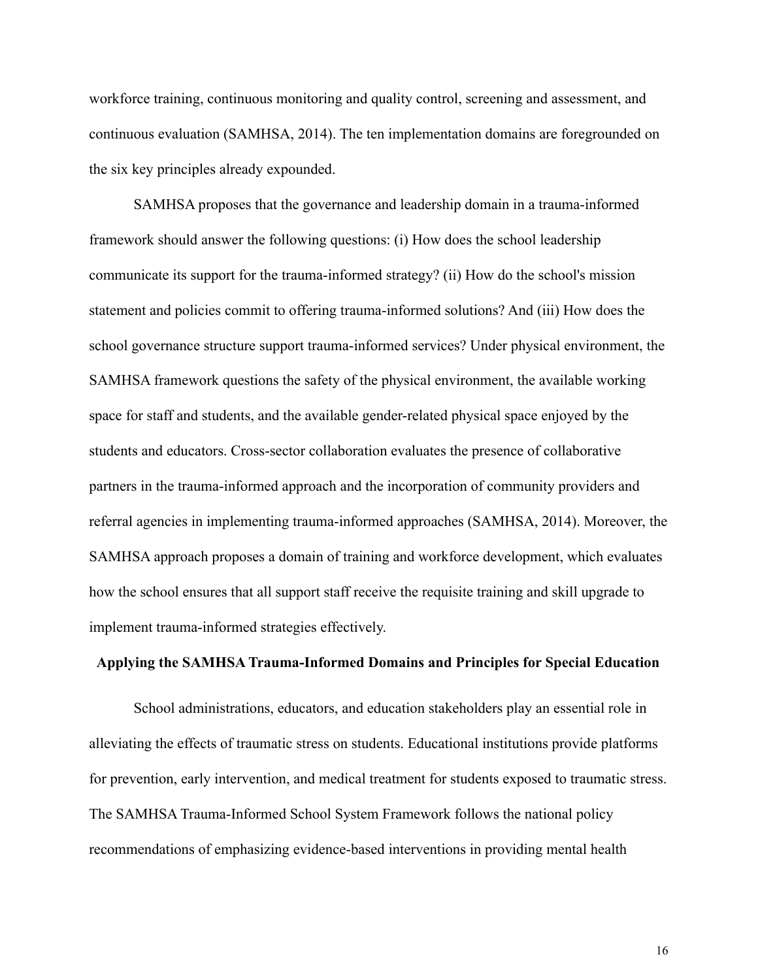workforce training, continuous monitoring and quality control, screening and assessment, and continuous evaluation (SAMHSA, 2014). The ten implementation domains are foregrounded on the six key principles already expounded.

SAMHSA proposes that the governance and leadership domain in a trauma-informed framework should answer the following questions: (i) How does the school leadership communicate its support for the trauma-informed strategy? (ii) How do the school's mission statement and policies commit to offering trauma-informed solutions? And (iii) How does the school governance structure support trauma-informed services? Under physical environment, the SAMHSA framework questions the safety of the physical environment, the available working space for staff and students, and the available gender-related physical space enjoyed by the students and educators. Cross-sector collaboration evaluates the presence of collaborative partners in the trauma-informed approach and the incorporation of community providers and referral agencies in implementing trauma-informed approaches (SAMHSA, 2014). Moreover, the SAMHSA approach proposes a domain of training and workforce development, which evaluates how the school ensures that all support staff receive the requisite training and skill upgrade to implement trauma-informed strategies effectively.

## **Applying the SAMHSA Trauma-Informed Domains and Principles for Special Education**

School administrations, educators, and education stakeholders play an essential role in alleviating the effects of traumatic stress on students. Educational institutions provide platforms for prevention, early intervention, and medical treatment for students exposed to traumatic stress. The SAMHSA Trauma-Informed School System Framework follows the national policy recommendations of emphasizing evidence-based interventions in providing mental health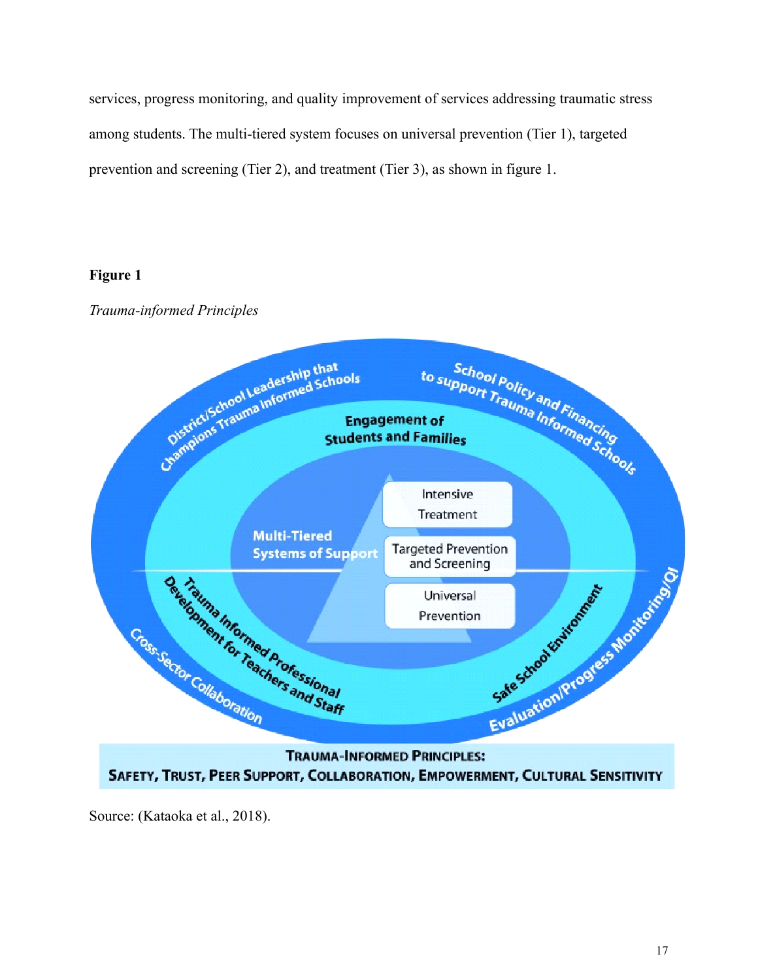services, progress monitoring, and quality improvement of services addressing traumatic stress among students. The multi-tiered system focuses on universal prevention (Tier 1), targeted prevention and screening (Tier 2), and treatment (Tier 3), as shown in figure 1.

## **Figure 1**

*Trauma-informed Principles*



Source: (Kataoka et al., 2018).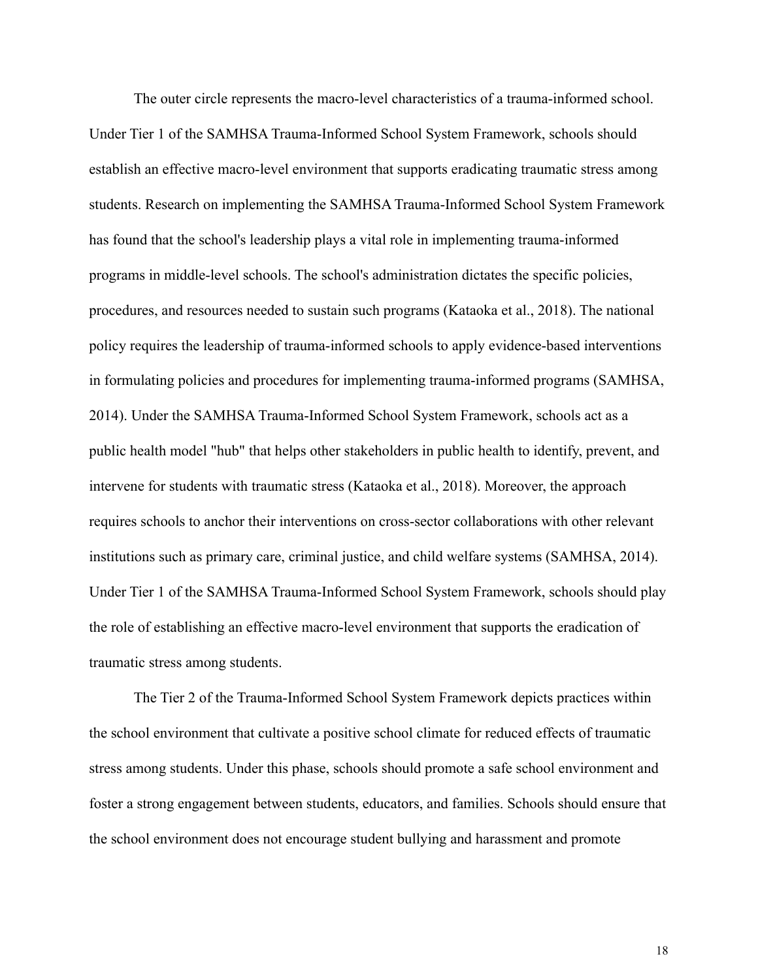The outer circle represents the macro-level characteristics of a trauma-informed school. Under Tier 1 of the SAMHSA Trauma-Informed School System Framework, schools should establish an effective macro-level environment that supports eradicating traumatic stress among students. Research on implementing the SAMHSA Trauma-Informed School System Framework has found that the school's leadership plays a vital role in implementing trauma-informed programs in middle-level schools. The school's administration dictates the specific policies, procedures, and resources needed to sustain such programs (Kataoka et al., 2018). The national policy requires the leadership of trauma-informed schools to apply evidence-based interventions in formulating policies and procedures for implementing trauma-informed programs (SAMHSA, 2014). Under the SAMHSA Trauma-Informed School System Framework, schools act as a public health model "hub" that helps other stakeholders in public health to identify, prevent, and intervene for students with traumatic stress (Kataoka et al., 2018). Moreover, the approach requires schools to anchor their interventions on cross-sector collaborations with other relevant institutions such as primary care, criminal justice, and child welfare systems (SAMHSA, 2014). Under Tier 1 of the SAMHSA Trauma-Informed School System Framework, schools should play the role of establishing an effective macro-level environment that supports the eradication of traumatic stress among students.

The Tier 2 of the Trauma-Informed School System Framework depicts practices within the school environment that cultivate a positive school climate for reduced effects of traumatic stress among students. Under this phase, schools should promote a safe school environment and foster a strong engagement between students, educators, and families. Schools should ensure that the school environment does not encourage student bullying and harassment and promote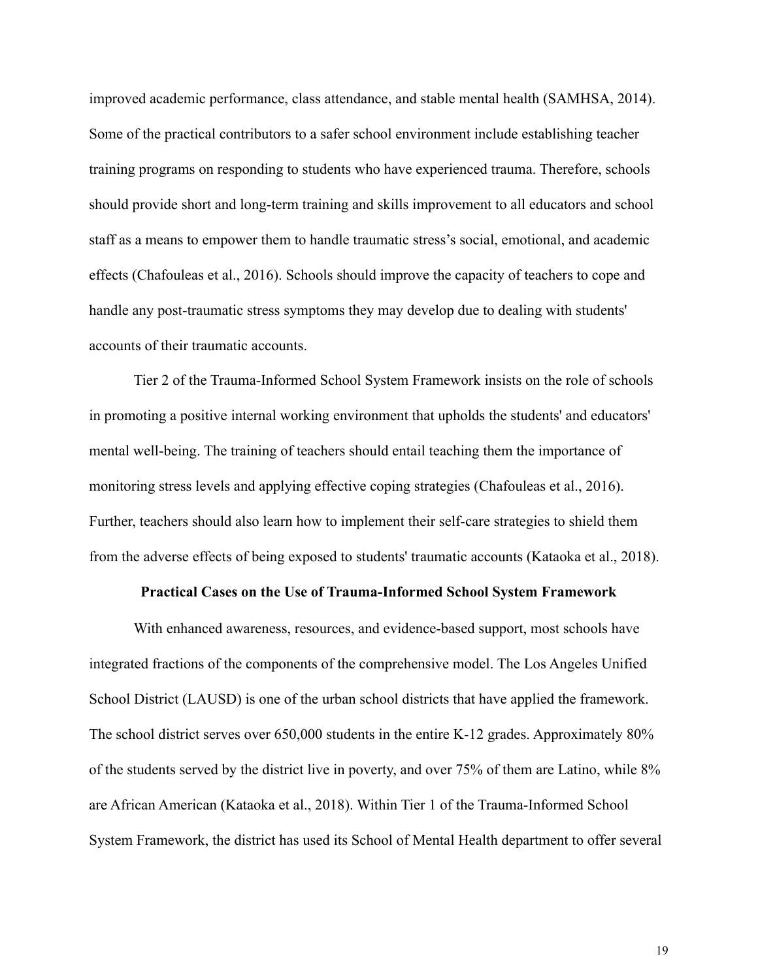improved academic performance, class attendance, and stable mental health (SAMHSA, 2014). Some of the practical contributors to a safer school environment include establishing teacher training programs on responding to students who have experienced trauma. Therefore, schools should provide short and long-term training and skills improvement to all educators and school staff as a means to empower them to handle traumatic stress's social, emotional, and academic effects (Chafouleas et al., 2016). Schools should improve the capacity of teachers to cope and handle any post-traumatic stress symptoms they may develop due to dealing with students' accounts of their traumatic accounts.

Tier 2 of the Trauma-Informed School System Framework insists on the role of schools in promoting a positive internal working environment that upholds the students' and educators' mental well-being. The training of teachers should entail teaching them the importance of monitoring stress levels and applying effective coping strategies (Chafouleas et al., 2016). Further, teachers should also learn how to implement their self-care strategies to shield them from the adverse effects of being exposed to students' traumatic accounts (Kataoka et al., 2018).

### **Practical Cases on the Use of Trauma-Informed School System Framework**

With enhanced awareness, resources, and evidence-based support, most schools have integrated fractions of the components of the comprehensive model. The Los Angeles Unified School District (LAUSD) is one of the urban school districts that have applied the framework. The school district serves over 650,000 students in the entire K-12 grades. Approximately 80% of the students served by the district live in poverty, and over 75% of them are Latino, while 8% are African American (Kataoka et al., 2018). Within Tier 1 of the Trauma-Informed School System Framework, the district has used its School of Mental Health department to offer several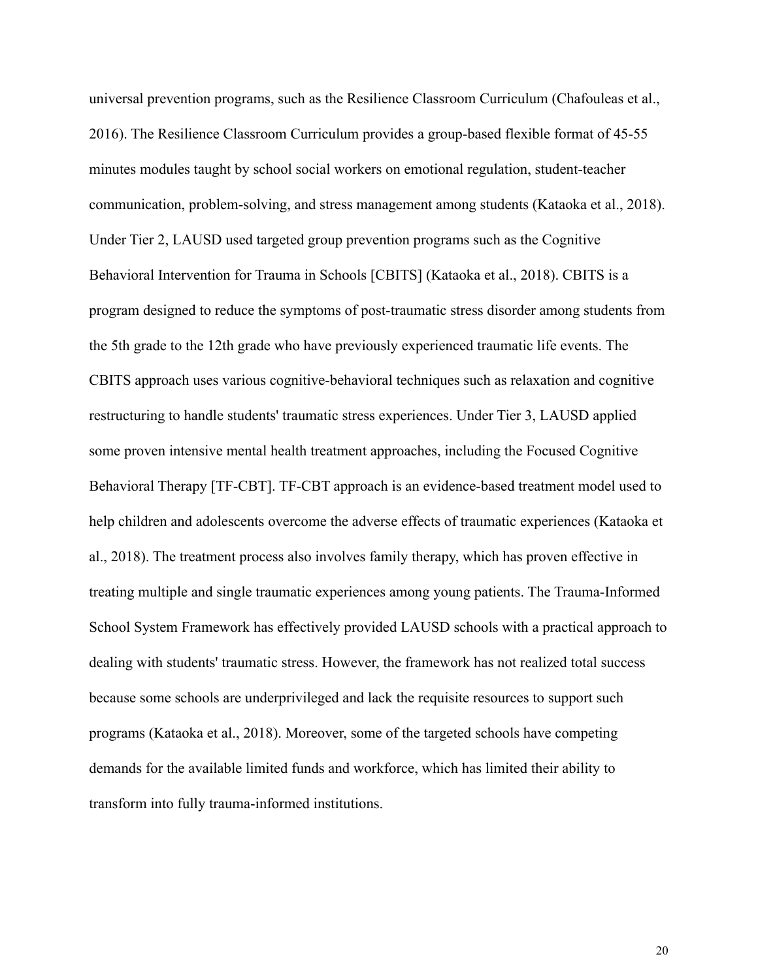universal prevention programs, such as the Resilience Classroom Curriculum (Chafouleas et al., 2016). The Resilience Classroom Curriculum provides a group-based flexible format of 45-55 minutes modules taught by school social workers on emotional regulation, student-teacher communication, problem-solving, and stress management among students (Kataoka et al., 2018). Under Tier 2, LAUSD used targeted group prevention programs such as the Cognitive Behavioral Intervention for Trauma in Schools [CBITS] (Kataoka et al., 2018). CBITS is a program designed to reduce the symptoms of post-traumatic stress disorder among students from the 5th grade to the 12th grade who have previously experienced traumatic life events. The CBITS approach uses various cognitive-behavioral techniques such as relaxation and cognitive restructuring to handle students' traumatic stress experiences. Under Tier 3, LAUSD applied some proven intensive mental health treatment approaches, including the Focused Cognitive Behavioral Therapy [TF-CBT]. TF-CBT approach is an evidence-based treatment model used to help children and adolescents overcome the adverse effects of traumatic experiences (Kataoka et al., 2018). The treatment process also involves family therapy, which has proven effective in treating multiple and single traumatic experiences among young patients. The Trauma-Informed School System Framework has effectively provided LAUSD schools with a practical approach to dealing with students' traumatic stress. However, the framework has not realized total success because some schools are underprivileged and lack the requisite resources to support such programs (Kataoka et al., 2018). Moreover, some of the targeted schools have competing demands for the available limited funds and workforce, which has limited their ability to transform into fully trauma-informed institutions.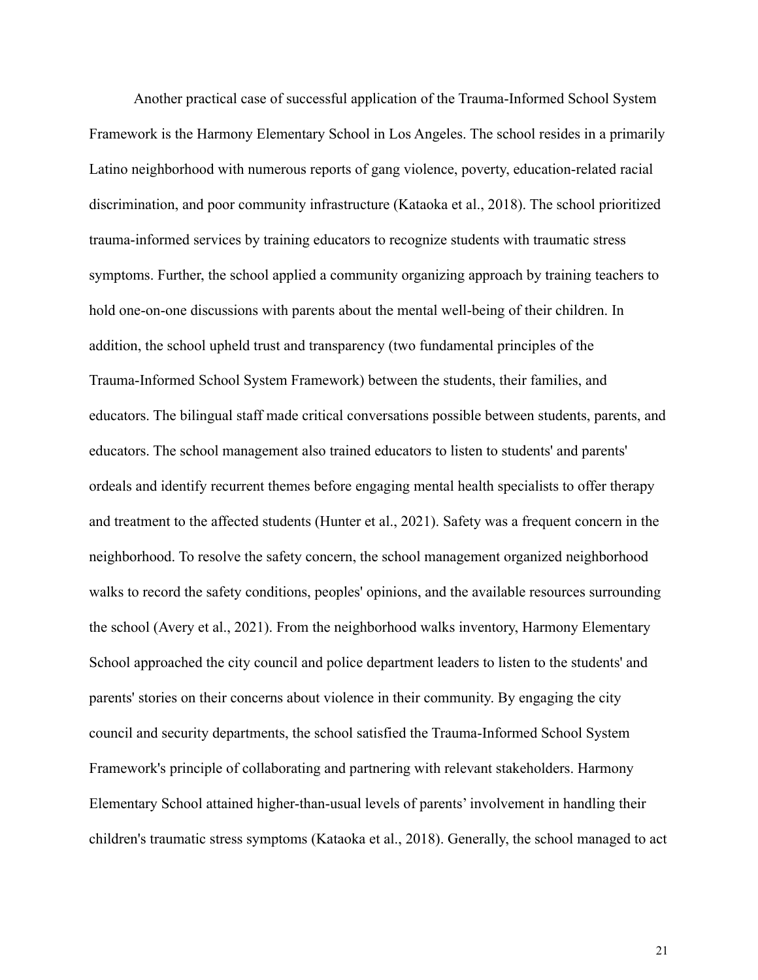Another practical case of successful application of the Trauma-Informed School System Framework is the Harmony Elementary School in Los Angeles. The school resides in a primarily Latino neighborhood with numerous reports of gang violence, poverty, education-related racial discrimination, and poor community infrastructure (Kataoka et al., 2018). The school prioritized trauma-informed services by training educators to recognize students with traumatic stress symptoms. Further, the school applied a community organizing approach by training teachers to hold one-on-one discussions with parents about the mental well-being of their children. In addition, the school upheld trust and transparency (two fundamental principles of the Trauma-Informed School System Framework) between the students, their families, and educators. The bilingual staff made critical conversations possible between students, parents, and educators. The school management also trained educators to listen to students' and parents' ordeals and identify recurrent themes before engaging mental health specialists to offer therapy and treatment to the affected students (Hunter et al., 2021). Safety was a frequent concern in the neighborhood. To resolve the safety concern, the school management organized neighborhood walks to record the safety conditions, peoples' opinions, and the available resources surrounding the school (Avery et al., 2021). From the neighborhood walks inventory, Harmony Elementary School approached the city council and police department leaders to listen to the students' and parents' stories on their concerns about violence in their community. By engaging the city council and security departments, the school satisfied the Trauma-Informed School System Framework's principle of collaborating and partnering with relevant stakeholders. Harmony Elementary School attained higher-than-usual levels of parents' involvement in handling their children's traumatic stress symptoms (Kataoka et al., 2018). Generally, the school managed to act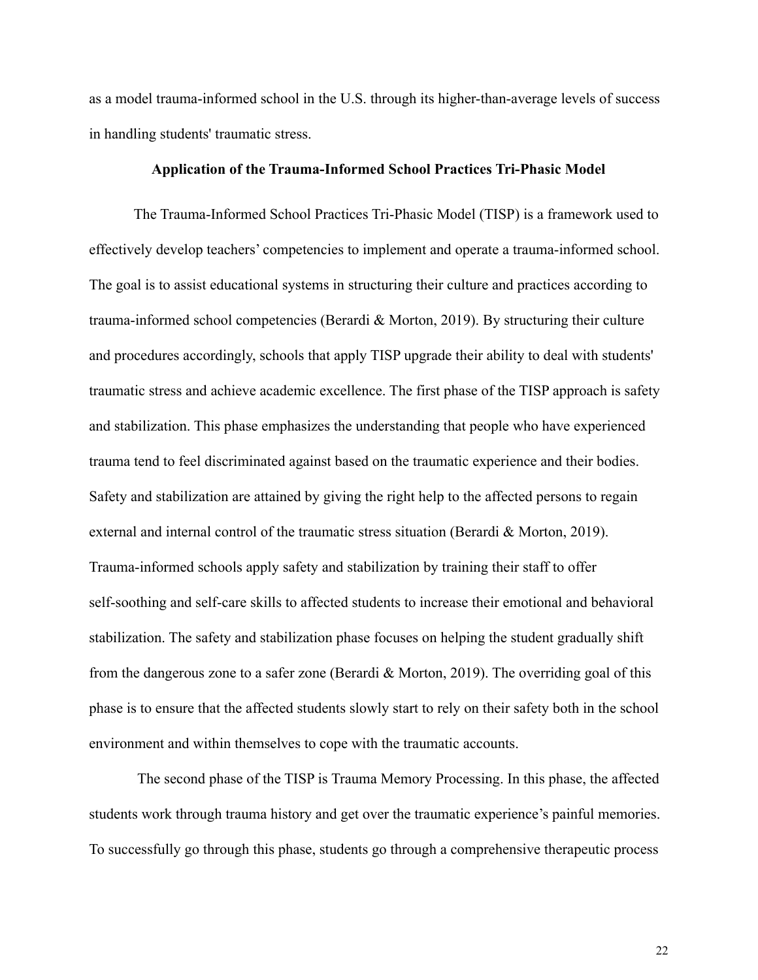as a model trauma-informed school in the U.S. through its higher-than-average levels of success in handling students' traumatic stress.

## **Application of the Trauma-Informed School Practices Tri-Phasic Model**

The Trauma-Informed School Practices Tri-Phasic Model (TISP) is a framework used to effectively develop teachers' competencies to implement and operate a trauma-informed school. The goal is to assist educational systems in structuring their culture and practices according to trauma-informed school competencies (Berardi & Morton, 2019). By structuring their culture and procedures accordingly, schools that apply TISP upgrade their ability to deal with students' traumatic stress and achieve academic excellence. The first phase of the TISP approach is safety and stabilization. This phase emphasizes the understanding that people who have experienced trauma tend to feel discriminated against based on the traumatic experience and their bodies. Safety and stabilization are attained by giving the right help to the affected persons to regain external and internal control of the traumatic stress situation (Berardi & Morton, 2019). Trauma-informed schools apply safety and stabilization by training their staff to offer self-soothing and self-care skills to affected students to increase their emotional and behavioral stabilization. The safety and stabilization phase focuses on helping the student gradually shift from the dangerous zone to a safer zone (Berardi & Morton, 2019). The overriding goal of this phase is to ensure that the affected students slowly start to rely on their safety both in the school environment and within themselves to cope with the traumatic accounts.

The second phase of the TISP is Trauma Memory Processing. In this phase, the affected students work through trauma history and get over the traumatic experience's painful memories. To successfully go through this phase, students go through a comprehensive therapeutic process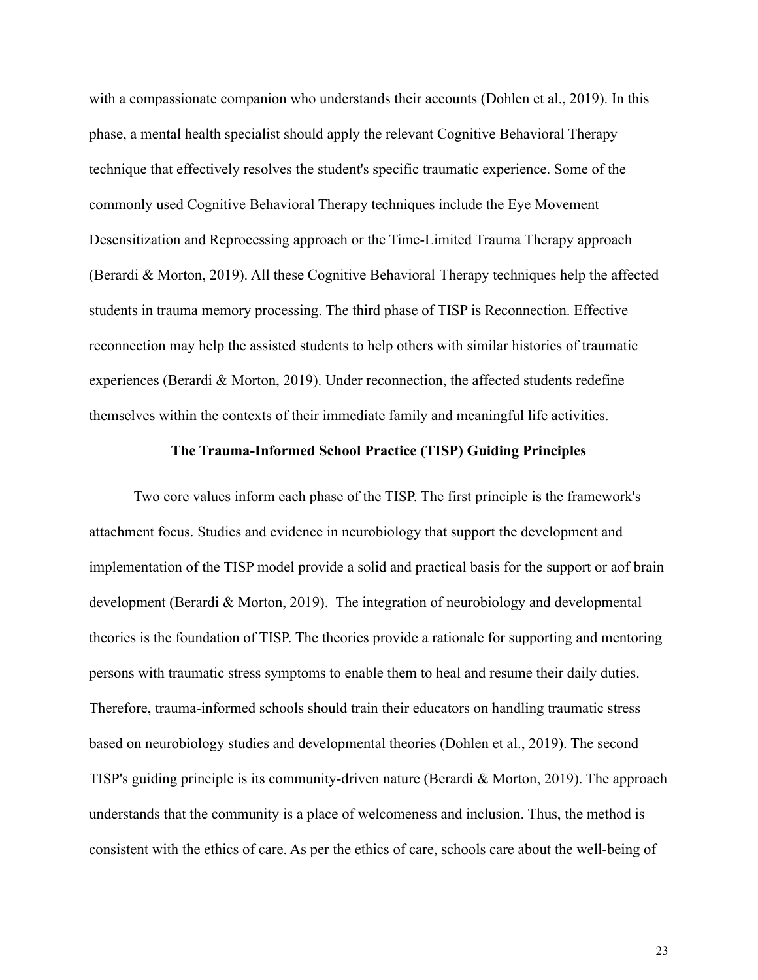with a compassionate companion who understands their accounts (Dohlen et al., 2019). In this phase, a mental health specialist should apply the relevant Cognitive Behavioral Therapy technique that effectively resolves the student's specific traumatic experience. Some of the commonly used Cognitive Behavioral Therapy techniques include the Eye Movement Desensitization and Reprocessing approach or the Time-Limited Trauma Therapy approach (Berardi & Morton, 2019). All these Cognitive Behavioral Therapy techniques help the affected students in trauma memory processing. The third phase of TISP is Reconnection. Effective reconnection may help the assisted students to help others with similar histories of traumatic experiences (Berardi & Morton, 2019). Under reconnection, the affected students redefine themselves within the contexts of their immediate family and meaningful life activities.

## **The Trauma-Informed School Practice (TISP) Guiding Principles**

Two core values inform each phase of the TISP. The first principle is the framework's attachment focus. Studies and evidence in neurobiology that support the development and implementation of the TISP model provide a solid and practical basis for the support or aof brain development (Berardi & Morton, 2019). The integration of neurobiology and developmental theories is the foundation of TISP. The theories provide a rationale for supporting and mentoring persons with traumatic stress symptoms to enable them to heal and resume their daily duties. Therefore, trauma-informed schools should train their educators on handling traumatic stress based on neurobiology studies and developmental theories (Dohlen et al., 2019). The second TISP's guiding principle is its community-driven nature (Berardi & Morton, 2019). The approach understands that the community is a place of welcomeness and inclusion. Thus, the method is consistent with the ethics of care. As per the ethics of care, schools care about the well-being of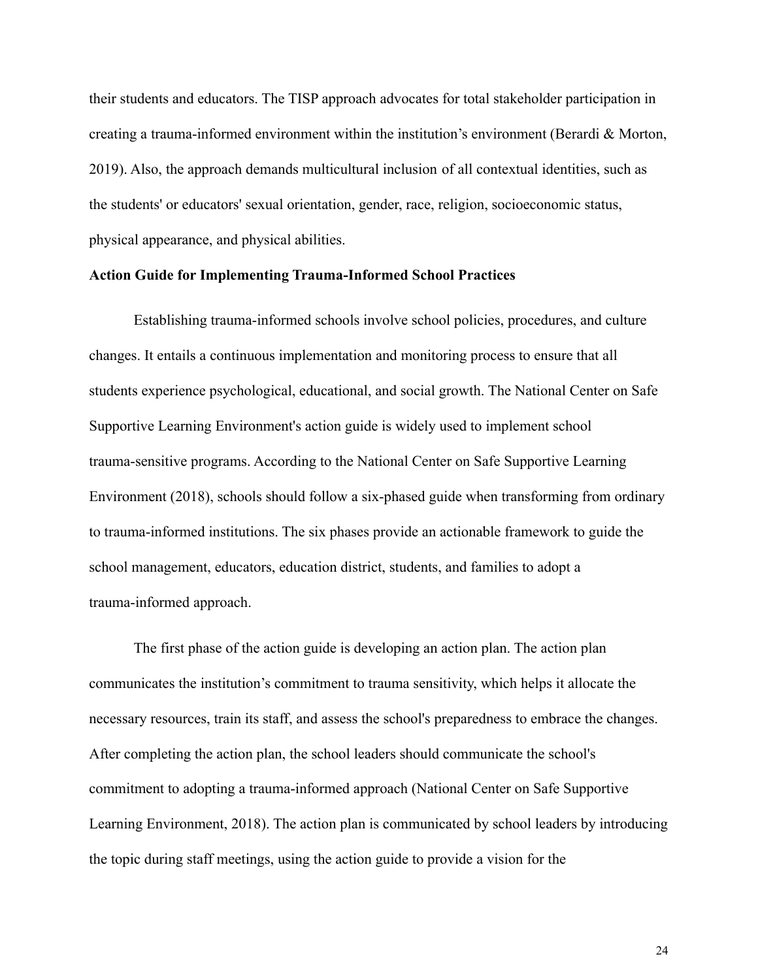their students and educators. The TISP approach advocates for total stakeholder participation in creating a trauma-informed environment within the institution's environment (Berardi & Morton, 2019). Also, the approach demands multicultural inclusion of all contextual identities, such as the students' or educators' sexual orientation, gender, race, religion, socioeconomic status, physical appearance, and physical abilities.

## **Action Guide for Implementing Trauma-Informed School Practices**

Establishing trauma-informed schools involve school policies, procedures, and culture changes. It entails a continuous implementation and monitoring process to ensure that all students experience psychological, educational, and social growth. The National Center on Safe Supportive Learning Environment's action guide is widely used to implement school trauma-sensitive programs. According to the National Center on Safe Supportive Learning Environment (2018), schools should follow a six-phased guide when transforming from ordinary to trauma-informed institutions. The six phases provide an actionable framework to guide the school management, educators, education district, students, and families to adopt a trauma-informed approach.

The first phase of the action guide is developing an action plan. The action plan communicates the institution's commitment to trauma sensitivity, which helps it allocate the necessary resources, train its staff, and assess the school's preparedness to embrace the changes. After completing the action plan, the school leaders should communicate the school's commitment to adopting a trauma-informed approach (National Center on Safe Supportive Learning Environment, 2018). The action plan is communicated by school leaders by introducing the topic during staff meetings, using the action guide to provide a vision for the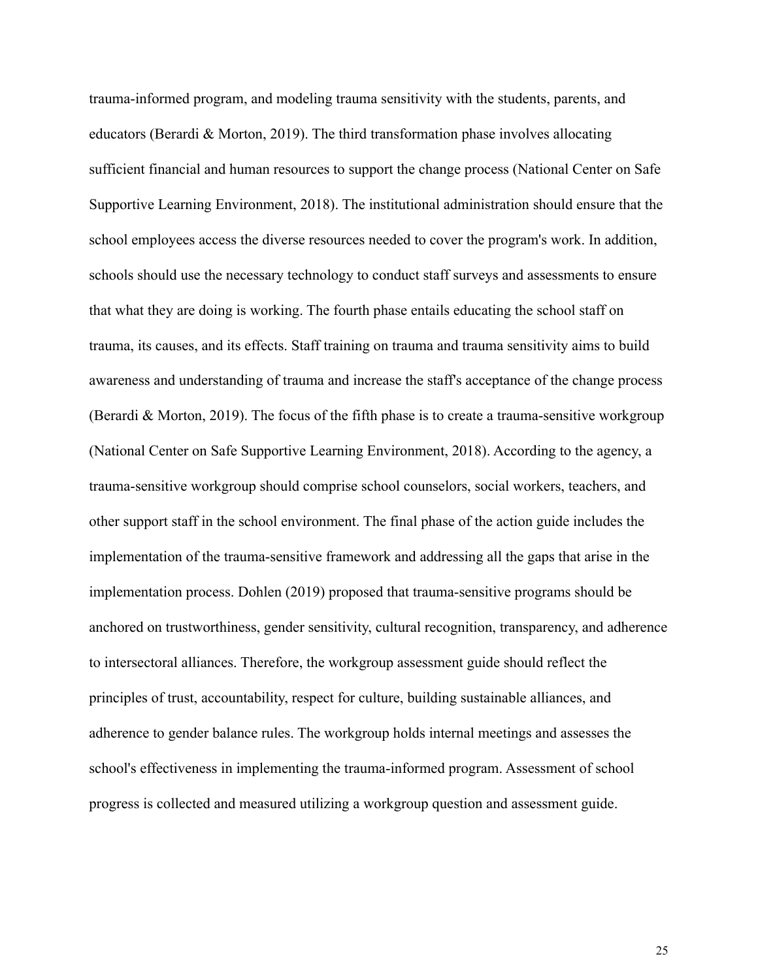trauma-informed program, and modeling trauma sensitivity with the students, parents, and educators (Berardi & Morton, 2019). The third transformation phase involves allocating sufficient financial and human resources to support the change process (National Center on Safe Supportive Learning Environment, 2018). The institutional administration should ensure that the school employees access the diverse resources needed to cover the program's work. In addition, schools should use the necessary technology to conduct staff surveys and assessments to ensure that what they are doing is working. The fourth phase entails educating the school staff on trauma, its causes, and its effects. Staff training on trauma and trauma sensitivity aims to build awareness and understanding of trauma and increase the staff's acceptance of the change process (Berardi & Morton, 2019). The focus of the fifth phase is to create a trauma-sensitive workgroup (National Center on Safe Supportive Learning Environment, 2018). According to the agency, a trauma-sensitive workgroup should comprise school counselors, social workers, teachers, and other support staff in the school environment. The final phase of the action guide includes the implementation of the trauma-sensitive framework and addressing all the gaps that arise in the implementation process. Dohlen (2019) proposed that trauma-sensitive programs should be anchored on trustworthiness, gender sensitivity, cultural recognition, transparency, and adherence to intersectoral alliances. Therefore, the workgroup assessment guide should reflect the principles of trust, accountability, respect for culture, building sustainable alliances, and adherence to gender balance rules. The workgroup holds internal meetings and assesses the school's effectiveness in implementing the trauma-informed program. Assessment of school progress is collected and measured utilizing a workgroup question and assessment guide.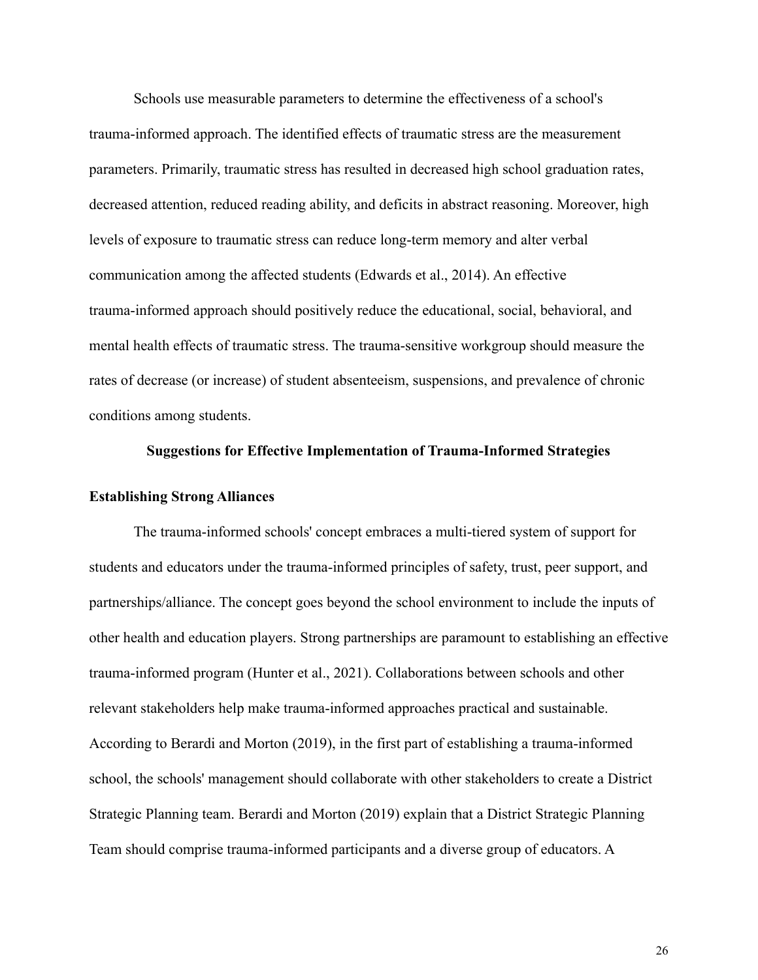Schools use measurable parameters to determine the effectiveness of a school's trauma-informed approach. The identified effects of traumatic stress are the measurement parameters. Primarily, traumatic stress has resulted in decreased high school graduation rates, decreased attention, reduced reading ability, and deficits in abstract reasoning. Moreover, high levels of exposure to traumatic stress can reduce long-term memory and alter verbal communication among the affected students (Edwards et al., 2014). An effective trauma-informed approach should positively reduce the educational, social, behavioral, and mental health effects of traumatic stress. The trauma-sensitive workgroup should measure the rates of decrease (or increase) of student absenteeism, suspensions, and prevalence of chronic conditions among students.

## **Suggestions for Effective Implementation of Trauma-Informed Strategies**

## **Establishing Strong Alliances**

The trauma-informed schools' concept embraces a multi-tiered system of support for students and educators under the trauma-informed principles of safety, trust, peer support, and partnerships/alliance. The concept goes beyond the school environment to include the inputs of other health and education players. Strong partnerships are paramount to establishing an effective trauma-informed program (Hunter et al., 2021). Collaborations between schools and other relevant stakeholders help make trauma-informed approaches practical and sustainable. According to Berardi and Morton (2019), in the first part of establishing a trauma-informed school, the schools' management should collaborate with other stakeholders to create a District Strategic Planning team. Berardi and Morton (2019) explain that a District Strategic Planning Team should comprise trauma-informed participants and a diverse group of educators. A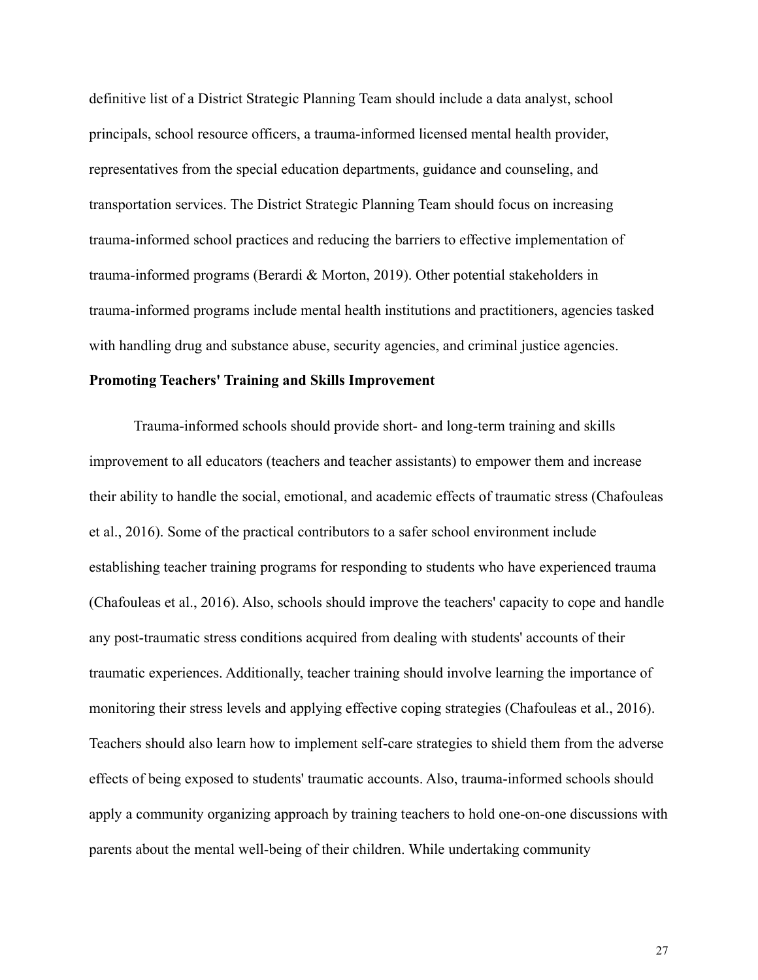definitive list of a District Strategic Planning Team should include a data analyst, school principals, school resource officers, a trauma-informed licensed mental health provider, representatives from the special education departments, guidance and counseling, and transportation services. The District Strategic Planning Team should focus on increasing trauma-informed school practices and reducing the barriers to effective implementation of trauma-informed programs (Berardi & Morton, 2019). Other potential stakeholders in trauma-informed programs include mental health institutions and practitioners, agencies tasked with handling drug and substance abuse, security agencies, and criminal justice agencies.

## **Promoting Teachers' Training and Skills Improvement**

Trauma-informed schools should provide short- and long-term training and skills improvement to all educators (teachers and teacher assistants) to empower them and increase their ability to handle the social, emotional, and academic effects of traumatic stress (Chafouleas et al., 2016). Some of the practical contributors to a safer school environment include establishing teacher training programs for responding to students who have experienced trauma (Chafouleas et al., 2016). Also, schools should improve the teachers' capacity to cope and handle any post-traumatic stress conditions acquired from dealing with students' accounts of their traumatic experiences. Additionally, teacher training should involve learning the importance of monitoring their stress levels and applying effective coping strategies (Chafouleas et al., 2016). Teachers should also learn how to implement self-care strategies to shield them from the adverse effects of being exposed to students' traumatic accounts. Also, trauma-informed schools should apply a community organizing approach by training teachers to hold one-on-one discussions with parents about the mental well-being of their children. While undertaking community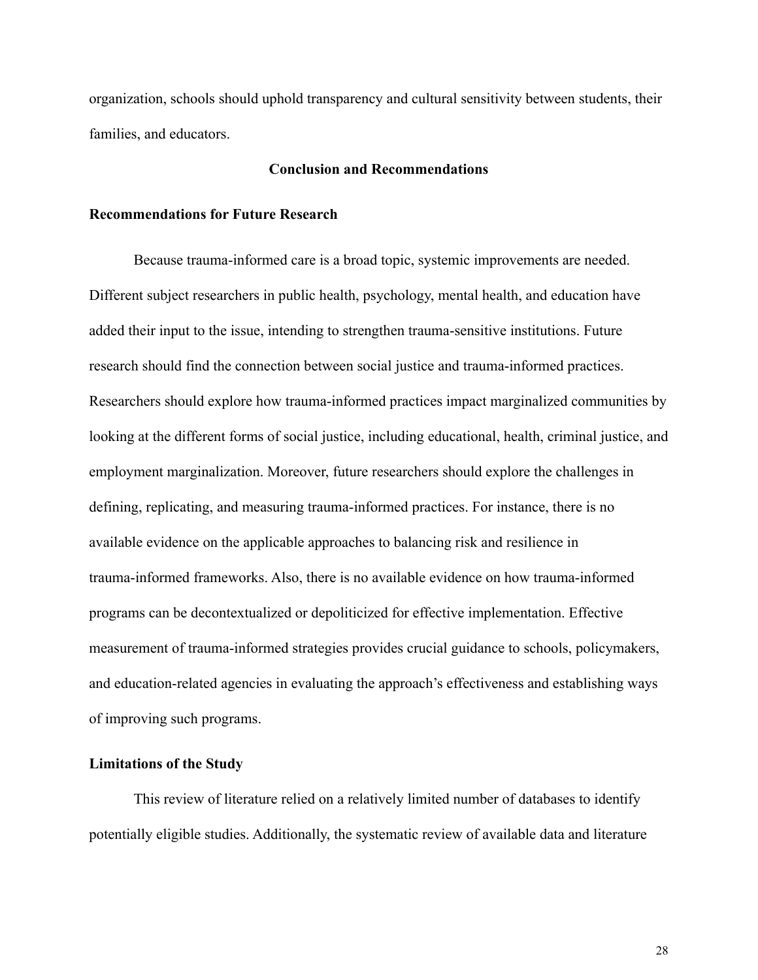organization, schools should uphold transparency and cultural sensitivity between students, their families, and educators.

## **Conclusion and Recommendations**

## **Recommendations for Future Research**

Because trauma-informed care is a broad topic, systemic improvements are needed. Different subject researchers in public health, psychology, mental health, and education have added their input to the issue, intending to strengthen trauma-sensitive institutions. Future research should find the connection between social justice and trauma-informed practices. Researchers should explore how trauma-informed practices impact marginalized communities by looking at the different forms of social justice, including educational, health, criminal justice, and employment marginalization. Moreover, future researchers should explore the challenges in defining, replicating, and measuring trauma-informed practices. For instance, there is no available evidence on the applicable approaches to balancing risk and resilience in trauma-informed frameworks. Also, there is no available evidence on how trauma-informed programs can be decontextualized or depoliticized for effective implementation. Effective measurement of trauma-informed strategies provides crucial guidance to schools, policymakers, and education-related agencies in evaluating the approach's effectiveness and establishing ways of improving such programs.

## **Limitations of the Study**

This review of literature relied on a relatively limited number of databases to identify potentially eligible studies. Additionally, the systematic review of available data and literature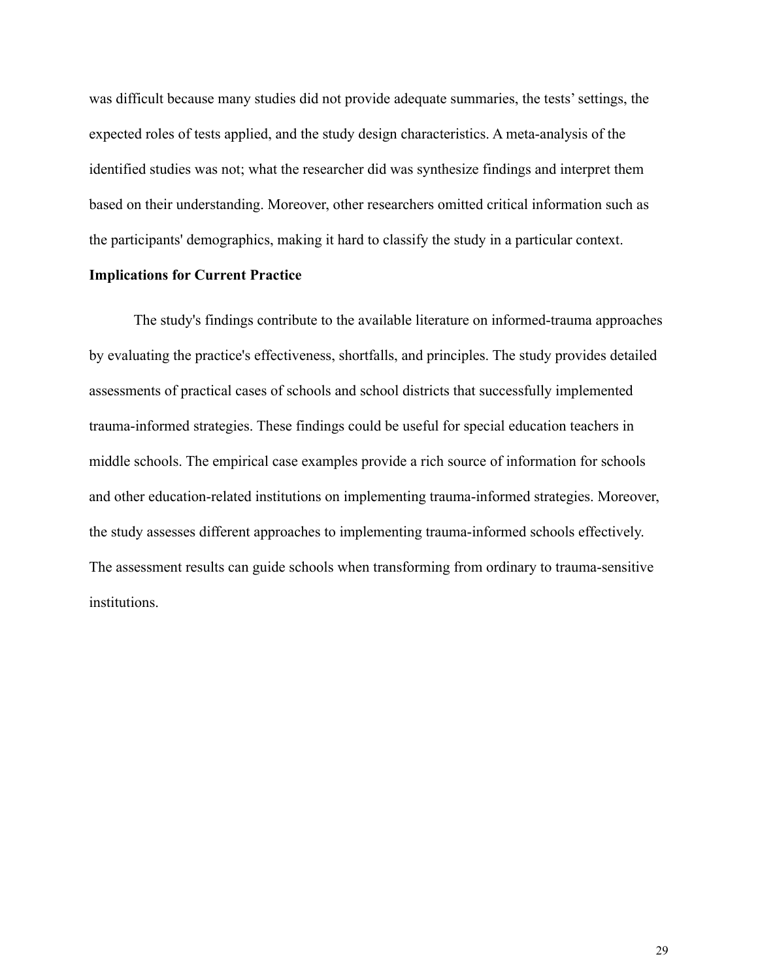was difficult because many studies did not provide adequate summaries, the tests' settings, the expected roles of tests applied, and the study design characteristics. A meta-analysis of the identified studies was not; what the researcher did was synthesize findings and interpret them based on their understanding. Moreover, other researchers omitted critical information such as the participants' demographics, making it hard to classify the study in a particular context.

## **Implications for Current Practice**

The study's findings contribute to the available literature on informed-trauma approaches by evaluating the practice's effectiveness, shortfalls, and principles. The study provides detailed assessments of practical cases of schools and school districts that successfully implemented trauma-informed strategies. These findings could be useful for special education teachers in middle schools. The empirical case examples provide a rich source of information for schools and other education-related institutions on implementing trauma-informed strategies. Moreover, the study assesses different approaches to implementing trauma-informed schools effectively. The assessment results can guide schools when transforming from ordinary to trauma-sensitive institutions.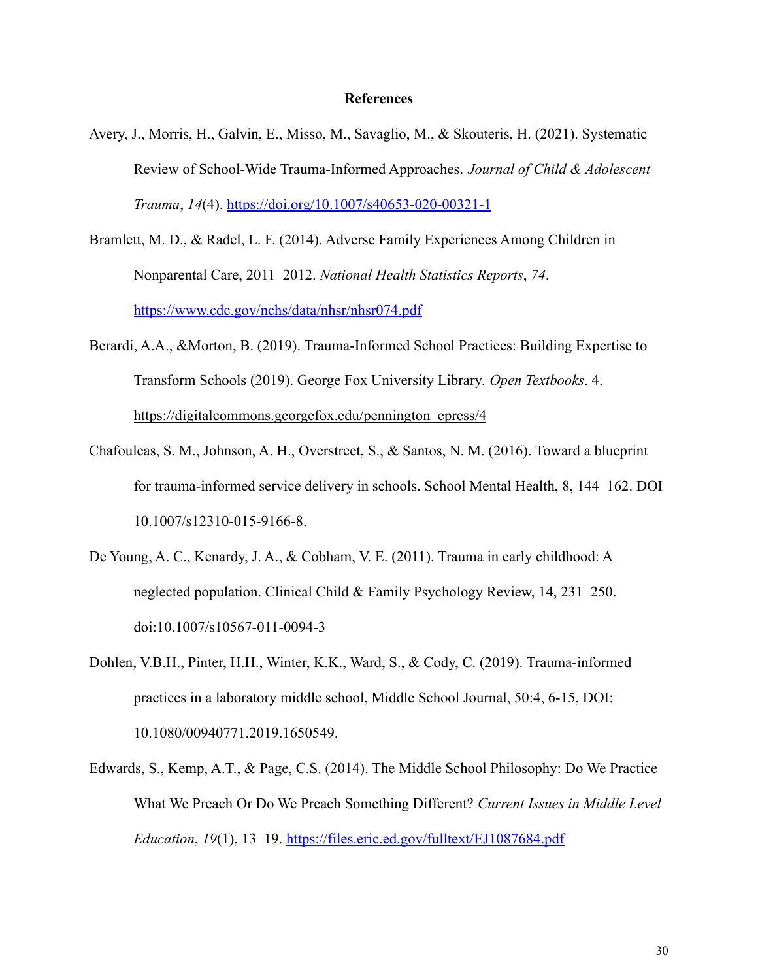#### **References**

- Avery, J., Morris, H., Galvin, E., Misso, M., Savaglio, M., & Skouteris, H. (2021). Systematic Review of School-Wide Trauma-Informed Approaches. *Journal of Child & Adolescent Trauma*, *14*(4). <https://doi.org/10.1007/s40653-020-00321-1>
- Bramlett, M. D., & Radel, L. F. (2014). Adverse Family Experiences Among Children in Nonparental Care, 2011–2012. *National Health Statistics Reports*, *74*. <https://www.cdc.gov/nchs/data/nhsr/nhsr074.pdf>
- Berardi, A.A., &Morton, B. (2019). Trauma-Informed School Practices: Building Expertise to Transform Schools (2019). George Fox University Library*. Open Textbooks*. 4. [https://digitalcommons.georgefox.edu/pennington\\_epress/4](https://digitalcommons.georgefox.edu/pennington_epress/4)
- Chafouleas, S. M., Johnson, A. H., Overstreet, S., & Santos, N. M. (2016). Toward a blueprint for trauma-informed service delivery in schools. School Mental Health, 8, 144–162. DOI 10.1007/s12310-015-9166-8.
- De Young, A. C., Kenardy, J. A., & Cobham, V. E. (2011). Trauma in early childhood: A neglected population. Clinical Child & Family Psychology Review, 14, 231–250. doi:10.1007/s10567-011-0094-3
- Dohlen, V.B.H., Pinter, H.H., Winter, K.K., Ward, S., & Cody, C. (2019). Trauma-informed practices in a laboratory middle school, Middle School Journal, 50:4, 6-15, DOI: 10.1080/00940771.2019.1650549.
- Edwards, S., Kemp, A.T., & Page, C.S. (2014). The Middle School Philosophy: Do We Practice What We Preach Or Do We Preach Something Different? *Current Issues in Middle Level Education*, *19*(1), 13–19. <https://files.eric.ed.gov/fulltext/EJ1087684.pdf>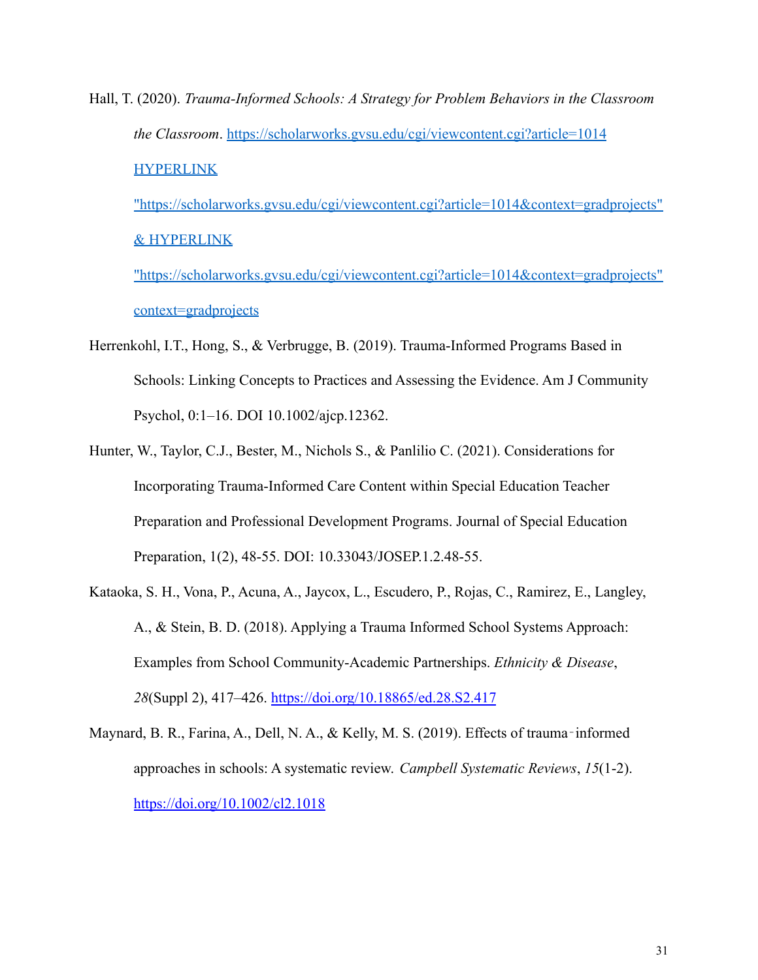Hall, T. (2020). *Trauma-Informed Schools: A Strategy for Problem Behaviors in the Classroom the Classroom*. [https://scholarworks.gvsu.edu/cgi/viewcontent.cgi?article=1014](https://scholarworks.gvsu.edu/cgi/viewcontent.cgi?article=1014&context=gradprojects) **[HYPERLINK](https://scholarworks.gvsu.edu/cgi/viewcontent.cgi?article=1014&context=gradprojects)** 

["https://scholarworks.gvsu.edu/cgi/viewcontent.cgi?article=1014&context=gradprojects"](https://scholarworks.gvsu.edu/cgi/viewcontent.cgi?article=1014&context=gradprojects) [& HYPERLINK](https://scholarworks.gvsu.edu/cgi/viewcontent.cgi?article=1014&context=gradprojects)

["https://scholarworks.gvsu.edu/cgi/viewcontent.cgi?article=1014&context=gradprojects"](https://scholarworks.gvsu.edu/cgi/viewcontent.cgi?article=1014&context=gradprojects) [context=gradprojects](https://scholarworks.gvsu.edu/cgi/viewcontent.cgi?article=1014&context=gradprojects)

- Herrenkohl, I.T., Hong, S., & Verbrugge, B. (2019). Trauma-Informed Programs Based in Schools: Linking Concepts to Practices and Assessing the Evidence. Am J Community Psychol, 0:1–16. DOI 10.1002/ajcp.12362.
- Hunter, W., Taylor, C.J., Bester, M., Nichols S., & Panlilio C. (2021). Considerations for Incorporating Trauma-Informed Care Content within Special Education Teacher Preparation and Professional Development Programs. Journal of Special Education Preparation, 1(2), 48-55. DOI: 10.33043/JOSEP.1.2.48-55.
- Kataoka, S. H., Vona, P., Acuna, A., Jaycox, L., Escudero, P., Rojas, C., Ramirez, E., Langley, A., & Stein, B. D. (2018). Applying a Trauma Informed School Systems Approach: Examples from School Community-Academic Partnerships. *Ethnicity & Disease*, *28*(Suppl 2), 417–426. <https://doi.org/10.18865/ed.28.S2.417>
- Maynard, B. R., Farina, A., Dell, N. A., & Kelly, M. S. (2019). Effects of trauma-informed approaches in schools: A systematic review. *Campbell Systematic Reviews*, *15*(1-2). <https://doi.org/10.1002/cl2.1018>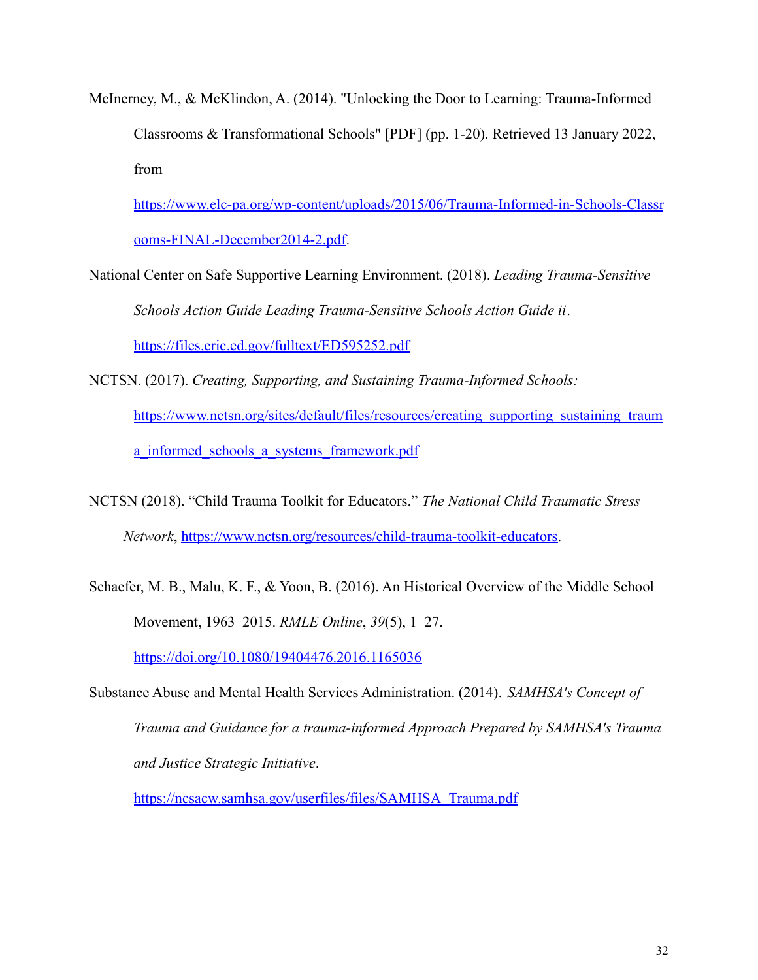McInerney, M., & McKlindon, A. (2014). "Unlocking the Door to Learning: Trauma-Informed Classrooms & Transformational Schools" [PDF] (pp. 1-20). Retrieved 13 January 2022, from

[https://www.elc-pa.org/wp-content/uploads/2015/06/Trauma-Informed-in-Schools-Classr](https://www.elc-pa.org/wp-content/uploads/2015/06/Trauma-Informed-in-Schools-Classrooms-FINAL-December2014-2.pdf) [ooms-FINAL-December2014-2.pdf.](https://www.elc-pa.org/wp-content/uploads/2015/06/Trauma-Informed-in-Schools-Classrooms-FINAL-December2014-2.pdf)

- National Center on Safe Supportive Learning Environment. (2018). *Leading Trauma-Sensitive Schools Action Guide Leading Trauma-Sensitive Schools Action Guide ii*. <https://files.eric.ed.gov/fulltext/ED595252.pdf>
- NCTSN. (2017). *Creating, Supporting, and Sustaining Trauma-Informed Schools:* [https://www.nctsn.org/sites/default/files/resources/creating\\_supporting\\_sustaining\\_traum](https://www.nctsn.org/sites/default/files/resources/creating_supporting_sustaining_trauma_informed_schools_a_systems_framework.pdf) a informed schools a systems framework.pdf
- NCTSN (2018). "Child Trauma Toolkit for Educators." *The National Child Traumatic Stress Network*, https://[www.nctsn.org/resources/child-trauma-toolkit-educators.](http://www.nctsn.org/resources/child-trauma-toolkit-educators)
- Schaefer, M. B., Malu, K. F., & Yoon, B. (2016). An Historical Overview of the Middle School Movement, 1963–2015. *RMLE Online*, *39*(5), 1–27.

<https://doi.org/10.1080/19404476.2016.1165036>

Substance Abuse and Mental Health Services Administration. (2014). *SAMHSA's Concept of Trauma and Guidance for a trauma-informed Approach Prepared by SAMHSA's Trauma and Justice Strategic Initiative*.

[https://ncsacw.samhsa.gov/userfiles/files/SAMHSA\\_Trauma.pdf](https://ncsacw.samhsa.gov/userfiles/files/SAMHSA_Trauma.pdf)